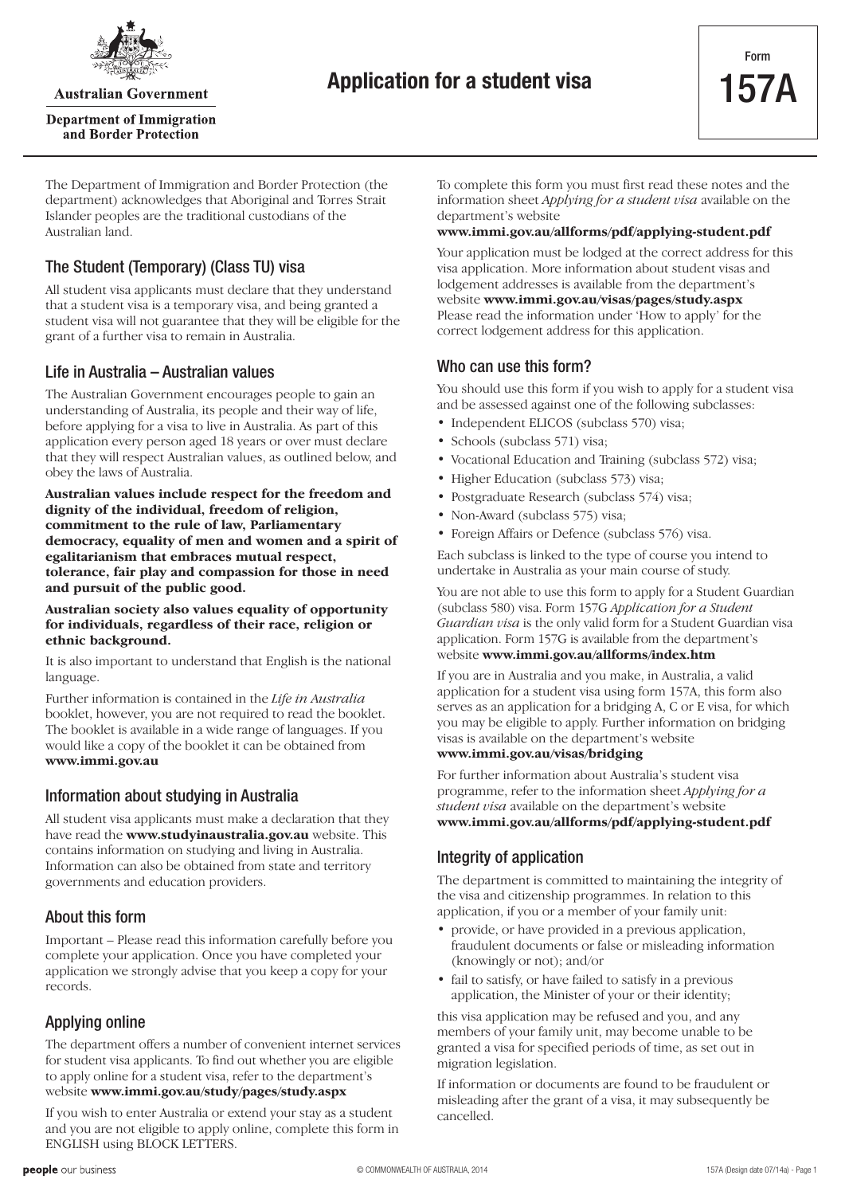

**Australian Government** 

**Department of Immigration** and Border Protection

The Department of Immigration and Border Protection (the department) acknowledges that Aboriginal and Torres Strait Islander peoples are the traditional custodians of the Australian land.

### The Student (Temporary) (Class TU) visa

All student visa applicants must declare that they understand that a student visa is a temporary visa, and being granted a student visa will not guarantee that they will be eligible for the grant of a further visa to remain in Australia.

### Life in Australia – Australian values

The Australian Government encourages people to gain an understanding of Australia, its people and their way of life, before applying for a visa to live in Australia. As part of this application every person aged 18 years or over must declare that they will respect Australian values, as outlined below, and obey the laws of Australia.

**Australian values include respect for the freedom and dignity of the individual, freedom of religion, commitment to the rule of law, Parliamentary democracy, equality of men and women and a spirit of egalitarianism that embraces mutual respect, tolerance, fair play and compassion for those in need and pursuit of the public good.**

#### **Australian society also values equality of opportunity for individuals, regardless of their race, religion or ethnic background.**

It is also important to understand that English is the national language.

Further information is contained in the *Life in Australia* booklet, however, you are not required to read the booklet. The booklet is available in a wide range of languages. If you would like a copy of the booklet it can be obtained from **www.immi.gov.au**

### Information about studying in Australia

All student visa applicants must make a declaration that they have read the **www.studyinaustralia.gov.au** website. This contains information on studying and living in Australia. Information can also be obtained from state and territory governments and education providers.

### About this form

Important – Please read this information carefully before you complete your application. Once you have completed your application we strongly advise that you keep a copy for your records.

## Applying online

The department offers a number of convenient internet services for student visa applicants. To find out whether you are eligible to apply online for a student visa, refer to the department's website **www.immi.gov.au/study/pages/study.aspx**

If you wish to enter Australia or extend your stay as a student and you are not eligible to apply online, complete this form in ENGLISH using BLOCK LETTERS.

To complete this form you must first read these notes and the information sheet *Applying for a student visa* available on the department's website

#### **www.immi.gov.au/allforms/pdf/applying-student.pdf**

Your application must be lodged at the correct address for this visa application. More information about student visas and lodgement addresses is available from the department's website **www.immi.gov.au/visas/pages/study.aspx** Please read the information under 'How to apply' for the correct lodgement address for this application.

### Who can use this form?

You should use this form if you wish to apply for a student visa and be assessed against one of the following subclasses:

- Independent ELICOS (subclass 570) visa;
- Schools (subclass 571) visa;
- Vocational Education and Training (subclass 572) visa:
- Higher Education (subclass 573) visa;
- Postgraduate Research (subclass 574) visa;
- Non-Award (subclass 575) visa;
- Foreign Affairs or Defence (subclass 576) visa.

Each subclass is linked to the type of course you intend to undertake in Australia as your main course of study.

You are not able to use this form to apply for a Student Guardian (subclass 580) visa. Form 157G *Application for a Student Guardian visa* is the only valid form for a Student Guardian visa application. Form 157G is available from the department's website **www.immi.gov.au/allforms/index.htm**

If you are in Australia and you make, in Australia, a valid application for a student visa using form 157A, this form also serves as an application for a bridging A, C or E visa, for which you may be eligible to apply. Further information on bridging visas is available on the department's website **www.immi.gov.au/visas/bridging**

For further information about Australia's student visa programme, refer to the information sheet *Applying for a student visa* available on the department's website **www.immi.gov.au/allforms/pdf/applying-student.pdf**

## Integrity of application

The department is committed to maintaining the integrity of the visa and citizenship programmes. In relation to this application, if you or a member of your family unit:

- provide, or have provided in a previous application, fraudulent documents or false or misleading information (knowingly or not); and/or
- fail to satisfy, or have failed to satisfy in a previous application, the Minister of your or their identity;

this visa application may be refused and you, and any members of your family unit, may become unable to be granted a visa for specified periods of time, as set out in migration legislation.

If information or documents are found to be fraudulent or misleading after the grant of a visa, it may subsequently be cancelled.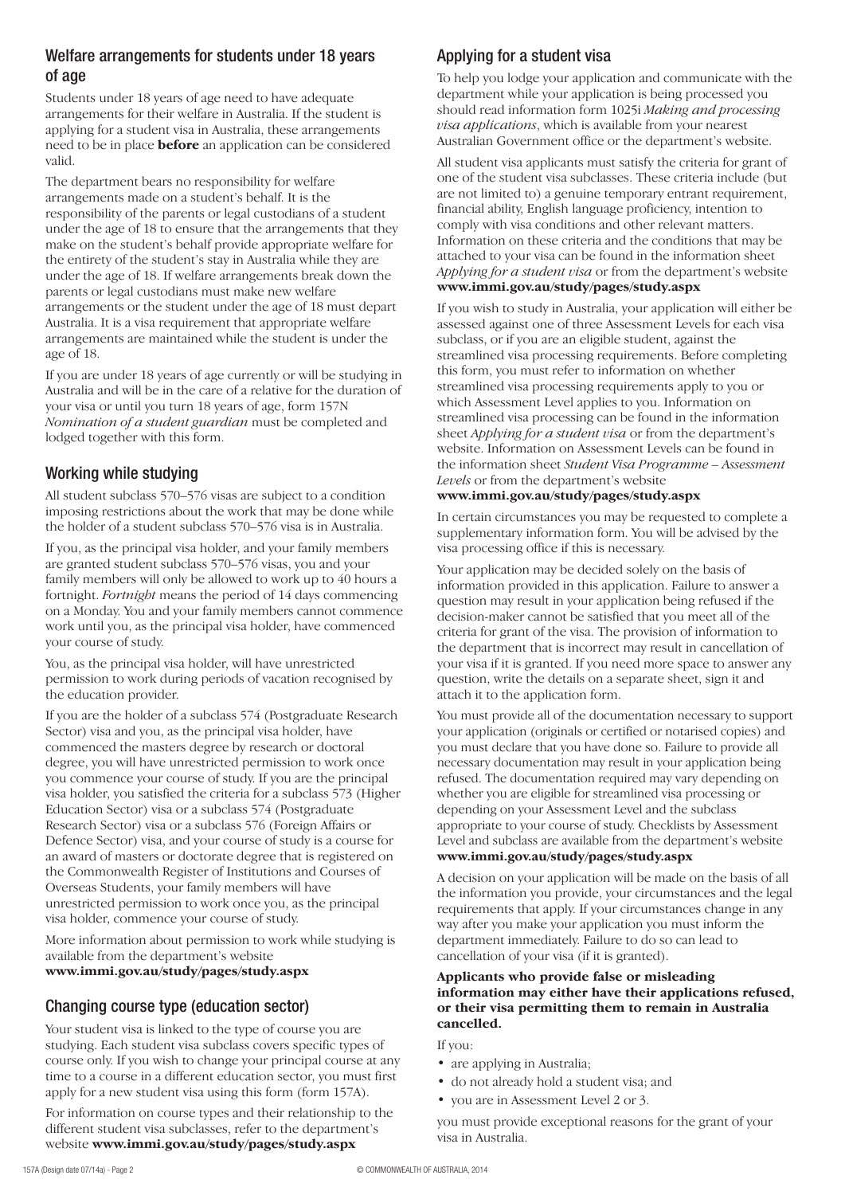### Welfare arrangements for students under 18 years of age

Students under 18 years of age need to have adequate arrangements for their welfare in Australia. If the student is applying for a student visa in Australia, these arrangements need to be in place **before** an application can be considered valid.

The department bears no responsibility for welfare arrangements made on a student's behalf. It is the responsibility of the parents or legal custodians of a student under the age of 18 to ensure that the arrangements that they make on the student's behalf provide appropriate welfare for the entirety of the student's stay in Australia while they are under the age of 18. If welfare arrangements break down the parents or legal custodians must make new welfare arrangements or the student under the age of 18 must depart Australia. It is a visa requirement that appropriate welfare arrangements are maintained while the student is under the age of 18.

If you are under 18 years of age currently or will be studying in Australia and will be in the care of a relative for the duration of your visa or until you turn 18 years of age, form 157N *Nomination of a student guardian* must be completed and lodged together with this form.

## Working while studying

All student subclass 570–576 visas are subject to a condition imposing restrictions about the work that may be done while the holder of a student subclass 570–576 visa is in Australia.

If you, as the principal visa holder, and your family members are granted student subclass 570–576 visas, you and your family members will only be allowed to work up to 40 hours a fortnight. *Fortnight* means the period of 14 days commencing on a Monday. You and your family members cannot commence work until you, as the principal visa holder, have commenced your course of study.

You, as the principal visa holder, will have unrestricted permission to work during periods of vacation recognised by the education provider.

If you are the holder of a subclass 574 (Postgraduate Research Sector) visa and you, as the principal visa holder, have commenced the masters degree by research or doctoral degree, you will have unrestricted permission to work once you commence your course of study. If you are the principal visa holder, you satisfied the criteria for a subclass 573 (Higher Education Sector) visa or a subclass 574 (Postgraduate Research Sector) visa or a subclass 576 (Foreign Affairs or Defence Sector) visa, and your course of study is a course for an award of masters or doctorate degree that is registered on the Commonwealth Register of Institutions and Courses of Overseas Students, your family members will have unrestricted permission to work once you, as the principal visa holder, commence your course of study.

More information about permission to work while studying is available from the department's website

# **www.immi.gov.au/study/pages/study.aspx**

# Changing course type (education sector)

Your student visa is linked to the type of course you are studying. Each student visa subclass covers specific types of course only. If you wish to change your principal course at any time to a course in a different education sector, you must first apply for a new student visa using this form (form 157A).

For information on course types and their relationship to the different student visa subclasses, refer to the department's website **www.immi.gov.au/study/pages/study.aspx**

# Applying for a student visa

To help you lodge your application and communicate with the department while your application is being processed you should read information form 1025i *Making and processing visa applications*, which is available from your nearest Australian Government office or the department's website.

All student visa applicants must satisfy the criteria for grant of one of the student visa subclasses. These criteria include (but are not limited to) a genuine temporary entrant requirement, financial ability, English language proficiency, intention to comply with visa conditions and other relevant matters. Information on these criteria and the conditions that may be attached to your visa can be found in the information sheet *Applying for a student visa* or from the department's website **www.immi.gov.au/study/pages/study.aspx**

If you wish to study in Australia, your application will either be assessed against one of three Assessment Levels for each visa subclass, or if you are an eligible student, against the streamlined visa processing requirements. Before completing this form, you must refer to information on whether streamlined visa processing requirements apply to you or which Assessment Level applies to you. Information on streamlined visa processing can be found in the information sheet *Applying for a student visa* or from the department's website. Information on Assessment Levels can be found in the information sheet *Student Visa Programme – Assessment Levels* or from the department's website

### **www.immi.gov.au/study/pages/study.aspx**

In certain circumstances you may be requested to complete a supplementary information form. You will be advised by the visa processing office if this is necessary.

Your application may be decided solely on the basis of information provided in this application. Failure to answer a question may result in your application being refused if the decision-maker cannot be satisfied that you meet all of the criteria for grant of the visa. The provision of information to the department that is incorrect may result in cancellation of your visa if it is granted. If you need more space to answer any question, write the details on a separate sheet, sign it and attach it to the application form.

You must provide all of the documentation necessary to support your application (originals or certified or notarised copies) and you must declare that you have done so. Failure to provide all necessary documentation may result in your application being refused. The documentation required may vary depending on whether you are eligible for streamlined visa processing or depending on your Assessment Level and the subclass appropriate to your course of study. Checklists by Assessment Level and subclass are available from the department's website **www.immi.gov.au/study/pages/study.aspx**

A decision on your application will be made on the basis of all the information you provide, your circumstances and the legal requirements that apply. If your circumstances change in any way after you make your application you must inform the department immediately. Failure to do so can lead to cancellation of your visa (if it is granted).

#### **Applicants who provide false or misleading information may either have their applications refused, or their visa permitting them to remain in Australia cancelled.**

If you:

- are applying in Australia;
- do not already hold a student visa; and
- you are in Assessment Level 2 or 3.

you must provide exceptional reasons for the grant of your visa in Australia.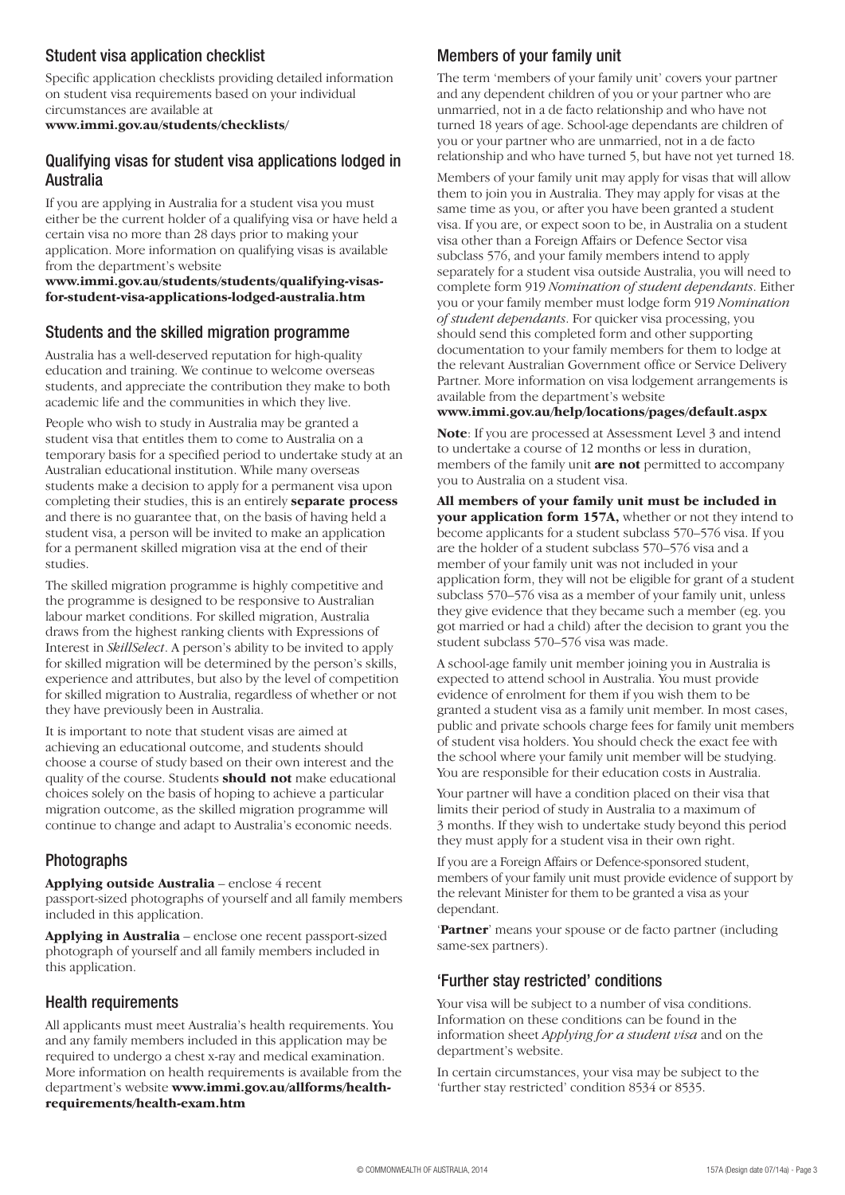# Student visa application checklist

Specific application checklists providing detailed information on student visa requirements based on your individual circumstances are available at

**www.immi.gov.au/students/checklists/**

### Qualifying visas for student visa applications lodged in Australia

If you are applying in Australia for a student visa you must either be the current holder of a qualifying visa or have held a certain visa no more than 28 days prior to making your application. More information on qualifying visas is available from the department's website

**www.immi.gov.au/students/students/qualifying-visasfor-student-visa-applications-lodged-australia.htm**

### Students and the skilled migration programme

Australia has a well-deserved reputation for high-quality education and training. We continue to welcome overseas students, and appreciate the contribution they make to both academic life and the communities in which they live.

People who wish to study in Australia may be granted a student visa that entitles them to come to Australia on a temporary basis for a specified period to undertake study at an Australian educational institution. While many overseas students make a decision to apply for a permanent visa upon completing their studies, this is an entirely **separate process** and there is no guarantee that, on the basis of having held a student visa, a person will be invited to make an application for a permanent skilled migration visa at the end of their studies.

The skilled migration programme is highly competitive and the programme is designed to be responsive to Australian labour market conditions. For skilled migration, Australia draws from the highest ranking clients with Expressions of Interest in *SkillSelect*. A person's ability to be invited to apply for skilled migration will be determined by the person's skills, experience and attributes, but also by the level of competition for skilled migration to Australia, regardless of whether or not they have previously been in Australia.

It is important to note that student visas are aimed at achieving an educational outcome, and students should choose a course of study based on their own interest and the quality of the course. Students **should not** make educational choices solely on the basis of hoping to achieve a particular migration outcome, as the skilled migration programme will continue to change and adapt to Australia's economic needs.

### Photographs

**Applying outside Australia** – enclose 4 recent passport-sized photographs of yourself and all family members included in this application.

**Applying in Australia** – enclose one recent passport-sized photograph of yourself and all family members included in this application.

### Health requirements

All applicants must meet Australia's health requirements. You and any family members included in this application may be required to undergo a chest x-ray and medical examination. More information on health requirements is available from the department's website **www.immi.gov.au/allforms/healthrequirements/health-exam.htm**

# Members of your family unit

The term 'members of your family unit' covers your partner and any dependent children of you or your partner who are unmarried, not in a de facto relationship and who have not turned 18 years of age. School-age dependants are children of you or your partner who are unmarried, not in a de facto relationship and who have turned 5, but have not yet turned 18.

Members of your family unit may apply for visas that will allow them to join you in Australia. They may apply for visas at the same time as you, or after you have been granted a student visa. If you are, or expect soon to be, in Australia on a student visa other than a Foreign Affairs or Defence Sector visa subclass 576, and your family members intend to apply separately for a student visa outside Australia, you will need to complete form 919 *Nomination of student dependants*. Either you or your family member must lodge form 919 *Nomination of student dependants*. For quicker visa processing, you should send this completed form and other supporting documentation to your family members for them to lodge at the relevant Australian Government office or Service Delivery Partner. More information on visa lodgement arrangements is available from the department's website

#### **www.immi.gov.au/help/locations/pages/default.aspx**

**Note**: If you are processed at Assessment Level 3 and intend to undertake a course of 12 months or less in duration, members of the family unit **are not** permitted to accompany you to Australia on a student visa.

**All members of your family unit must be included in your application form 157A,** whether or not they intend to become applicants for a student subclass 570–576 visa. If you are the holder of a student subclass 570–576 visa and a member of your family unit was not included in your application form, they will not be eligible for grant of a student subclass 570–576 visa as a member of your family unit, unless they give evidence that they became such a member (eg. you got married or had a child) after the decision to grant you the student subclass 570–576 visa was made.

A school-age family unit member joining you in Australia is expected to attend school in Australia. You must provide evidence of enrolment for them if you wish them to be granted a student visa as a family unit member. In most cases, public and private schools charge fees for family unit members of student visa holders. You should check the exact fee with the school where your family unit member will be studying. You are responsible for their education costs in Australia.

Your partner will have a condition placed on their visa that limits their period of study in Australia to a maximum of 3 months. If they wish to undertake study beyond this period they must apply for a student visa in their own right.

If you are a Foreign Affairs or Defence-sponsored student, members of your family unit must provide evidence of support by the relevant Minister for them to be granted a visa as your dependant.

'**Partner**' means your spouse or de facto partner (including same-sex partners).

### 'Further stay restricted' conditions

Your visa will be subject to a number of visa conditions. Information on these conditions can be found in the information sheet *Applying for a student visa* and on the department's website.

In certain circumstances, your visa may be subject to the 'further stay restricted' condition 8534 or 8535.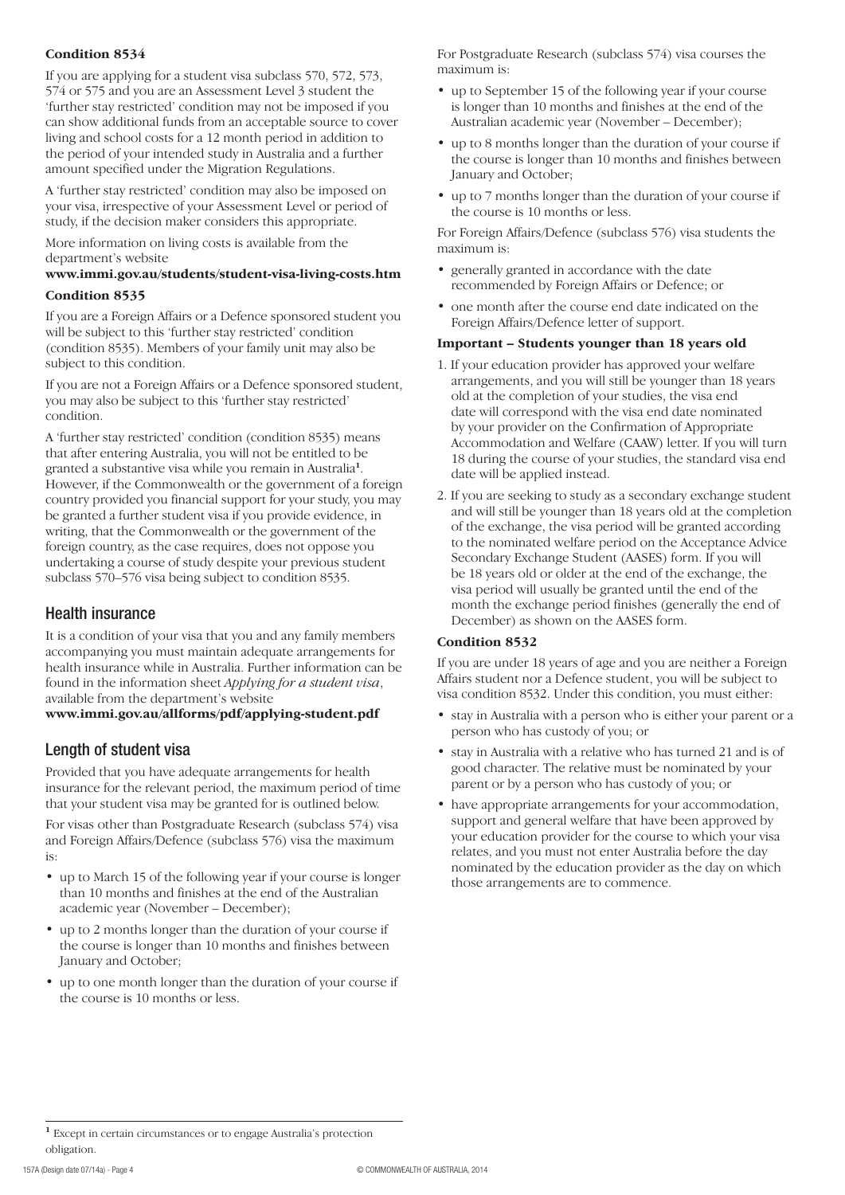#### **Condition 8534**

If you are applying for a student visa subclass 570, 572, 573, 574 or 575 and you are an Assessment Level 3 student the 'further stay restricted' condition may not be imposed if you can show additional funds from an acceptable source to cover living and school costs for a 12 month period in addition to the period of your intended study in Australia and a further amount specified under the Migration Regulations.

A 'further stay restricted' condition may also be imposed on your visa, irrespective of your Assessment Level or period of study, if the decision maker considers this appropriate.

More information on living costs is available from the department's website

# **www.immi.gov.au/students/student-visa-living-costs.htm**

#### **Condition 8535**

If you are a Foreign Affairs or a Defence sponsored student you will be subject to this 'further stay restricted' condition (condition 8535). Members of your family unit may also be subject to this condition.

If you are not a Foreign Affairs or a Defence sponsored student, you may also be subject to this 'further stay restricted' condition.

A 'further stay restricted' condition (condition 8535) means that after entering Australia, you will not be entitled to be granted a substantive visa while you remain in Australia**<sup>1</sup>**. However, if the Commonwealth or the government of a foreign country provided you financial support for your study, you may be granted a further student visa if you provide evidence, in writing, that the Commonwealth or the government of the foreign country, as the case requires, does not oppose you undertaking a course of study despite your previous student subclass 570–576 visa being subject to condition 8535.

### Health insurance

It is a condition of your visa that you and any family members accompanying you must maintain adequate arrangements for health insurance while in Australia. Further information can be found in the information sheet *Applying for a student visa*, available from the department's website

#### **www.immi.gov.au/allforms/pdf/applying-student.pdf**

## Length of student visa

Provided that you have adequate arrangements for health insurance for the relevant period, the maximum period of time that your student visa may be granted for is outlined below.

For visas other than Postgraduate Research (subclass 574) visa and Foreign Affairs/Defence (subclass 576) visa the maximum is:

- up to March 15 of the following year if your course is longer than 10 months and finishes at the end of the Australian academic year (November – December);
- up to 2 months longer than the duration of your course if the course is longer than 10 months and finishes between January and October;
- up to one month longer than the duration of your course if the course is 10 months or less.

For Postgraduate Research (subclass 574) visa courses the maximum is:

- up to September 15 of the following year if your course is longer than 10 months and finishes at the end of the Australian academic year (November – December);
- up to 8 months longer than the duration of your course if the course is longer than 10 months and finishes between January and October;
- up to 7 months longer than the duration of your course if the course is 10 months or less.

For Foreign Affairs/Defence (subclass 576) visa students the maximum is:

- generally granted in accordance with the date recommended by Foreign Affairs or Defence; or
- one month after the course end date indicated on the Foreign Affairs/Defence letter of support.

#### **Important – Students younger than 18 years old**

- 1. If your education provider has approved your welfare arrangements, and you will still be younger than 18 years old at the completion of your studies, the visa end date will correspond with the visa end date nominated by your provider on the Confirmation of Appropriate Accommodation and Welfare (CAAW) letter. If you will turn 18 during the course of your studies, the standard visa end date will be applied instead.
- 2. If you are seeking to study as a secondary exchange student and will still be younger than 18 years old at the completion of the exchange, the visa period will be granted according to the nominated welfare period on the Acceptance Advice Secondary Exchange Student (AASES) form. If you will be 18 years old or older at the end of the exchange, the visa period will usually be granted until the end of the month the exchange period finishes (generally the end of December) as shown on the AASES form.

#### **Condition 8532**

If you are under 18 years of age and you are neither a Foreign Affairs student nor a Defence student, you will be subject to visa condition 8532. Under this condition, you must either:

- stay in Australia with a person who is either your parent or a person who has custody of you; or
- • stay in Australia with a relative who has turned 21 and is of good character. The relative must be nominated by your parent or by a person who has custody of you; or
- • have appropriate arrangements for your accommodation, support and general welfare that have been approved by your education provider for the course to which your visa relates, and you must not enter Australia before the day nominated by the education provider as the day on which those arrangements are to commence.

**<sup>1</sup>** Except in certain circumstances or to engage Australia's protection obligation.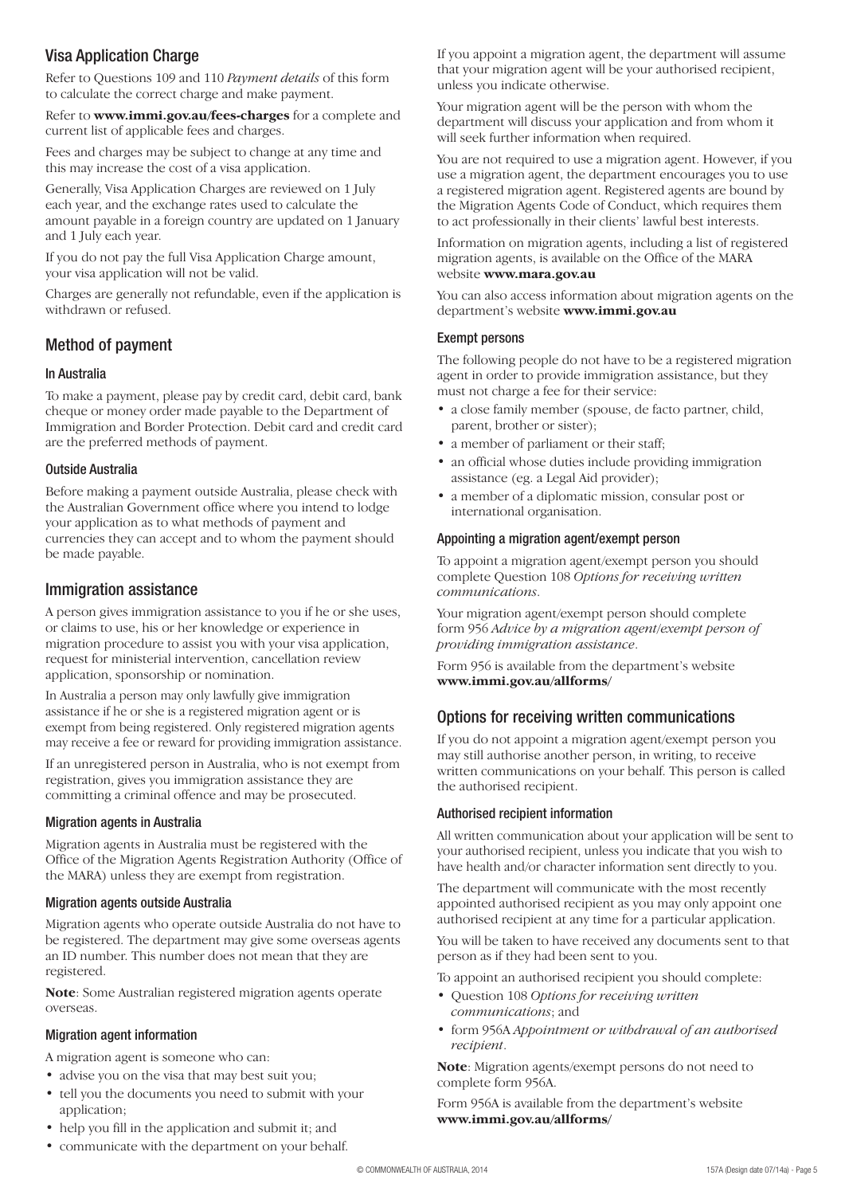# Visa Application Charge

Refer to Questions 109 and 110 *Payment details* of this form to calculate the correct charge and make payment.

Refer to **www.immi.gov.au/fees-charges** for a complete and current list of applicable fees and charges.

Fees and charges may be subject to change at any time and this may increase the cost of a visa application.

Generally, Visa Application Charges are reviewed on 1 July each year, and the exchange rates used to calculate the amount payable in a foreign country are updated on 1 January and 1 July each year.

If you do not pay the full Visa Application Charge amount, your visa application will not be valid.

Charges are generally not refundable, even if the application is withdrawn or refused.

### Method of payment

#### In Australia

To make a payment, please pay by credit card, debit card, bank cheque or money order made payable to the Department of Immigration and Border Protection. Debit card and credit card are the preferred methods of payment.

#### Outside Australia

Before making a payment outside Australia, please check with the Australian Government office where you intend to lodge your application as to what methods of payment and currencies they can accept and to whom the payment should be made payable.

#### Immigration assistance

A person gives immigration assistance to you if he or she uses, or claims to use, his or her knowledge or experience in migration procedure to assist you with your visa application, request for ministerial intervention, cancellation review application, sponsorship or nomination.

In Australia a person may only lawfully give immigration assistance if he or she is a registered migration agent or is exempt from being registered. Only registered migration agents may receive a fee or reward for providing immigration assistance.

If an unregistered person in Australia, who is not exempt from registration, gives you immigration assistance they are committing a criminal offence and may be prosecuted.

#### Migration agents in Australia

Migration agents in Australia must be registered with the Office of the Migration Agents Registration Authority (Office of the MARA) unless they are exempt from registration.

#### Migration agents outside Australia

Migration agents who operate outside Australia do not have to be registered. The department may give some overseas agents an ID number. This number does not mean that they are registered.

**Note**: Some Australian registered migration agents operate overseas.

#### Migration agent information

A migration agent is someone who can:

- advise you on the visa that may best suit you;
- tell you the documents you need to submit with your application;
- help you fill in the application and submit it; and
- communicate with the department on your behalf.

If you appoint a migration agent, the department will assume that your migration agent will be your authorised recipient, unless you indicate otherwise.

Your migration agent will be the person with whom the department will discuss your application and from whom it will seek further information when required.

You are not required to use a migration agent. However, if you use a migration agent, the department encourages you to use a registered migration agent. Registered agents are bound by the Migration Agents Code of Conduct, which requires them to act professionally in their clients' lawful best interests.

Information on migration agents, including a list of registered migration agents, is available on the Office of the MARA website **www.mara.gov.au**

You can also access information about migration agents on the department's website **www.immi.gov.au**

#### Exempt persons

The following people do not have to be a registered migration agent in order to provide immigration assistance, but they must not charge a fee for their service:

- a close family member (spouse, de facto partner, child, parent, brother or sister);
- a member of parliament or their staff;
- an official whose duties include providing immigration assistance (eg. a Legal Aid provider);
- a member of a diplomatic mission, consular post or international organisation.

#### Appointing a migration agent/exempt person

To appoint a migration agent/exempt person you should complete Question 108 *Options for receiving written communications*.

Your migration agent/exempt person should complete form 956 *Advice by a migration agent/exempt person of providing immigration assistance*.

Form 956 is available from the department's website **www.immi.gov.au/allforms/**

### Options for receiving written communications

If you do not appoint a migration agent/exempt person you may still authorise another person, in writing, to receive written communications on your behalf. This person is called the authorised recipient.

#### Authorised recipient information

All written communication about your application will be sent to your authorised recipient, unless you indicate that you wish to have health and/or character information sent directly to you.

The department will communicate with the most recently appointed authorised recipient as you may only appoint one authorised recipient at any time for a particular application.

You will be taken to have received any documents sent to that person as if they had been sent to you.

To appoint an authorised recipient you should complete:

- • Question 108 *Options for receiving written communications*; and
- • form 956A *Appointment or withdrawal of an authorised recipient*.

**Note**: Migration agents/exempt persons do not need to complete form 956A.

Form 956A is available from the department's website **www.immi.gov.au/allforms/**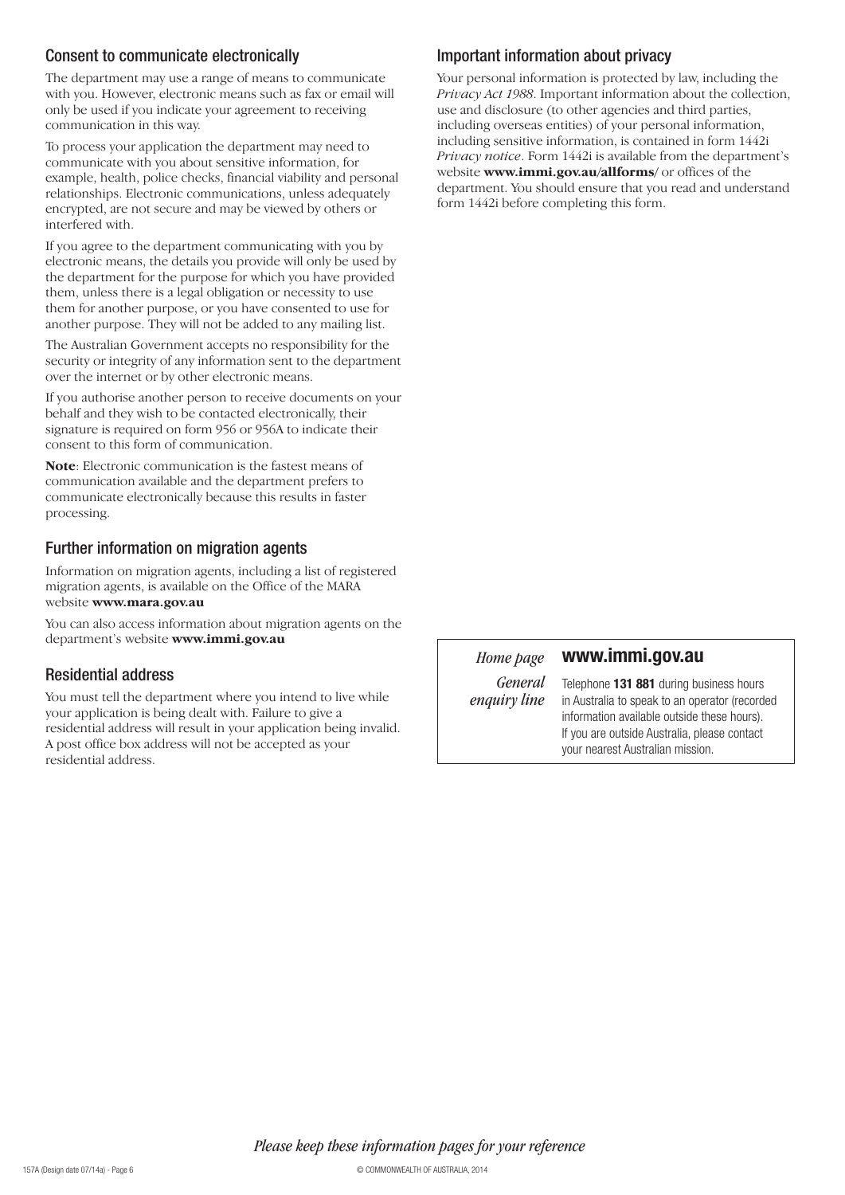### Consent to communicate electronically

The department may use a range of means to communicate with you. However, electronic means such as fax or email will only be used if you indicate your agreement to receiving communication in this way.

To process your application the department may need to communicate with you about sensitive information, for example, health, police checks, financial viability and personal relationships. Electronic communications, unless adequately encrypted, are not secure and may be viewed by others or interfered with.

If you agree to the department communicating with you by electronic means, the details you provide will only be used by the department for the purpose for which you have provided them, unless there is a legal obligation or necessity to use them for another purpose, or you have consented to use for another purpose. They will not be added to any mailing list.

The Australian Government accepts no responsibility for the security or integrity of any information sent to the department over the internet or by other electronic means.

If you authorise another person to receive documents on your behalf and they wish to be contacted electronically, their signature is required on form 956 or 956A to indicate their consent to this form of communication.

**Note**: Electronic communication is the fastest means of communication available and the department prefers to communicate electronically because this results in faster processing.

### Further information on migration agents

Information on migration agents, including a list of registered migration agents, is available on the Office of the MARA website **www.mara.gov.au**

You can also access information about migration agents on the department's website **www.immi.gov.au**

## Residential address

You must tell the department where you intend to live while your application is being dealt with. Failure to give a residential address will result in your application being invalid. A post office box address will not be accepted as your residential address.

# Important information about privacy

Your personal information is protected by law, including the *Privacy Act 1988*. Important information about the collection, use and disclosure (to other agencies and third parties, including overseas entities) of your personal information, including sensitive information, is contained in form 1442i *Privacy notice*. Form 1442i is available from the department's website **www.immi.gov.au/allforms/** or offices of the department. You should ensure that you read and understand form 1442i before completing this form.

### *Home page*

#### **www.immi.gov.au**

*General enquiry line*

Telephone **131 881** during business hours in Australia to speak to an operator (recorded information available outside these hours). If you are outside Australia, please contact your nearest Australian mission.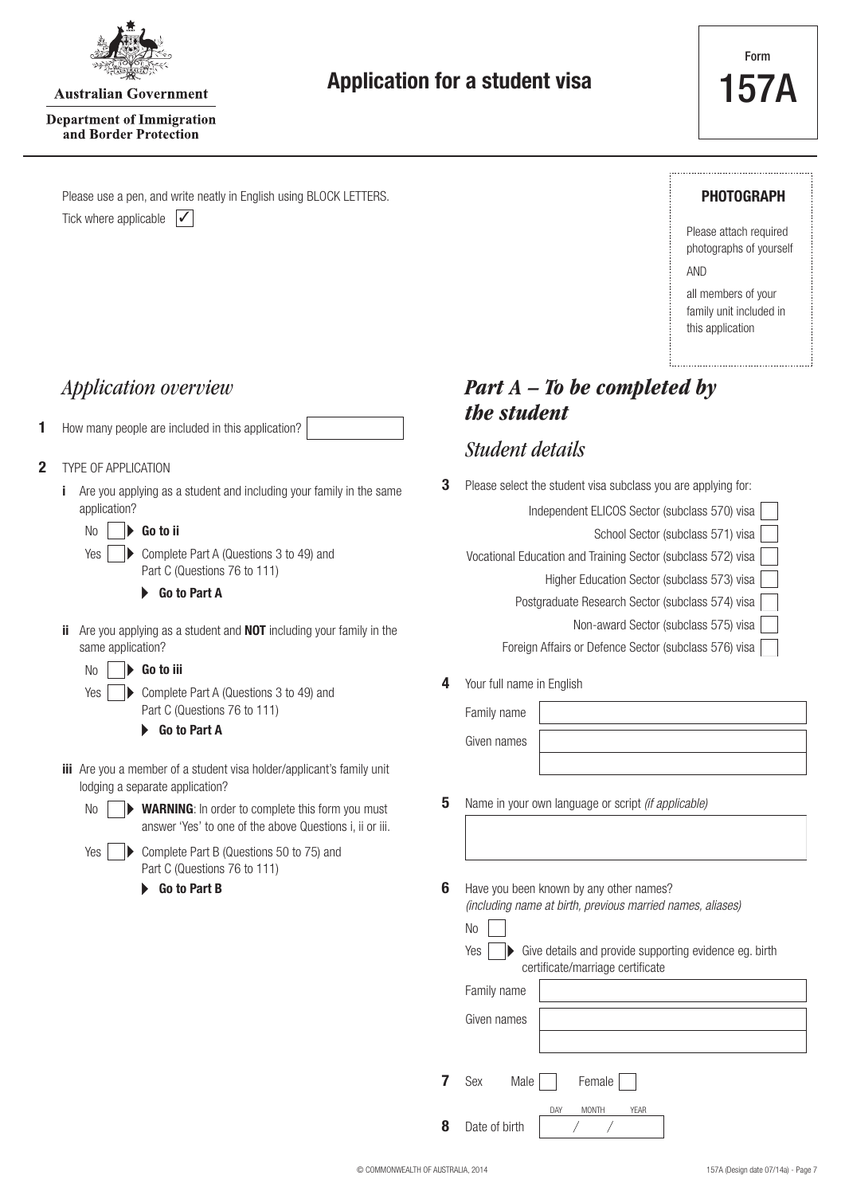

**Australian Government** 

**Application for a student visa**

**Department of Immigration** and Border Protection

Tick where applicable  $\vert \checkmark \vert$ Please use a pen, and write neatly in English using BLOCK LETTERS.

### **PHOTOGRAPH**

Please attach required photographs of yourself AND

all members of your family unit included in this application

**1** How many people are included in this application?

#### **2** TYPE OF APPLICATION

Yes

No

**3** Please select the student and including your family in the same **3** Please select the student visa subclass you are applying for: application?

No **Go to ii**

> Complete Part A (Questions 3 to 49) and Part C (Questions 76 to 111)

#### **Go to Part A**

**ii** Are you applying as a student and **NOT** including your family in the same application?

|  | $No \rvert \rvert$ Go to iii                                    |
|--|-----------------------------------------------------------------|
|  | Yes $\vert \quad \vert$ Complete Part A (Questions 3 to 49) and |
|  | Part C (Questions 76 to 111)                                    |

**Go to Part A**

- **iii** Are you a member of a student visa holder/applicant's family unit lodging a separate application?
	- WARNING: In order to complete this form you must answer 'Yes' to one of the above Questions i, ii or iii.
	- Yes | ▶ Complete Part B (Questions 50 to 75) and Part C (Questions 76 to 111) ь **Go to Part B**

*Application overview Part A – To be completed by the student*

# *Student details*

| Independent ELICOS Sector (subclass 570) visa                |
|--------------------------------------------------------------|
| School Sector (subclass 571) visa                            |
| Vocational Education and Training Sector (subclass 572) visa |
| Higher Education Sector (subclass 573) visa                  |
| Postgraduate Research Sector (subclass 574) visa             |
| Non-award Sector (subclass 575) visa                         |
| Foreign Affairs or Defence Sector (subclass 576) visa        |
|                                                              |

**4** Your full name in English

| Family name |  |
|-------------|--|
| Given names |  |
|             |  |

- **5** Name in your own language or script *(if applicable)*
- Have you been known by any other names? *(including name at birth, previous married names, aliases)* **6**

| $No$ |                                                                                                                  |
|------|------------------------------------------------------------------------------------------------------------------|
|      | $Yes \rightarrow See$ Give details and provide supporting evidence eg. birth<br>certificate/marriage certificate |

|   | Family name |      |        |
|---|-------------|------|--------|
|   | Given names |      |        |
|   |             |      |        |
| 7 | Sex         | Male | Female |

DAY MONTH YEAR

**8** Date of birth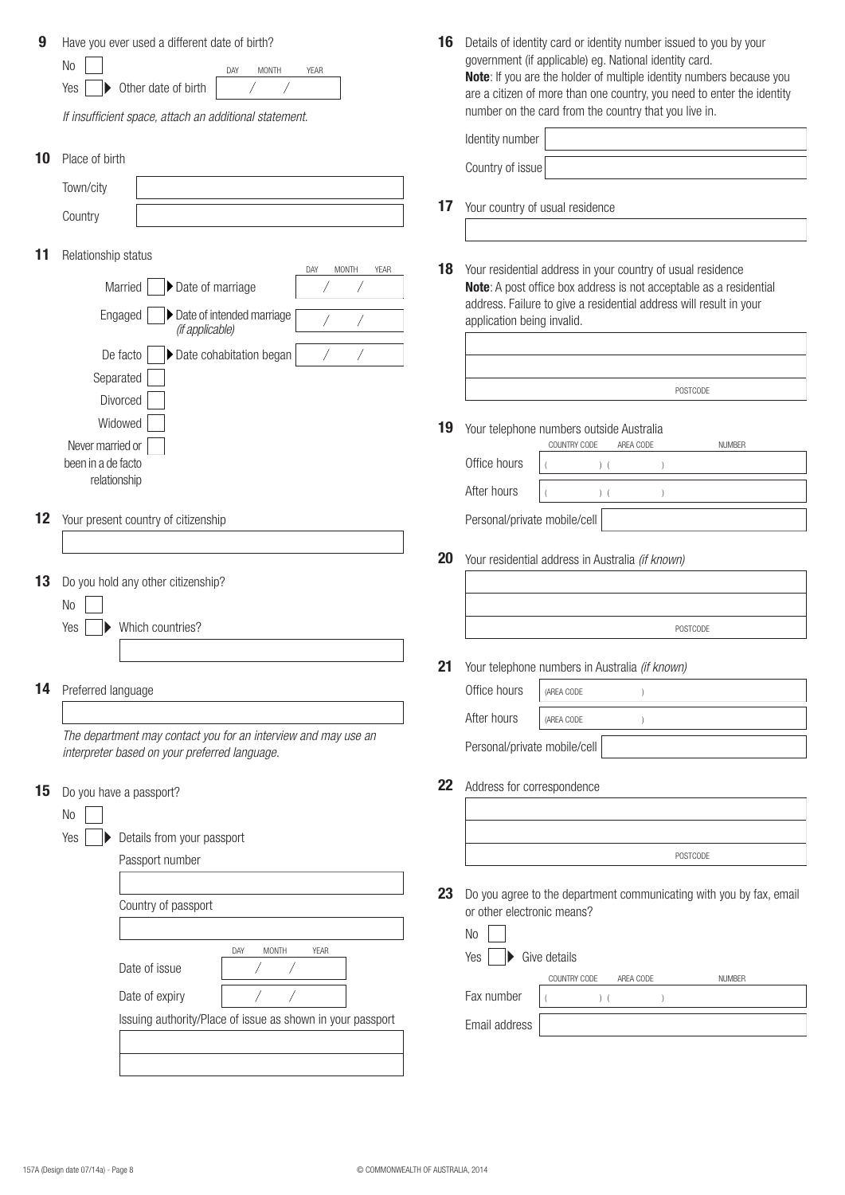| 9<br>10 | Have you ever used a different date of birth?<br>N <sub>0</sub><br><b>MONTH</b><br><b>YEAR</b><br>DAY<br>Other date of birth<br>Yes<br>If insufficient space, attach an additional statement.<br>Place of birth | 16 | Details of identity card or identity number issued to you by your<br>government (if applicable) eg. National identity card.<br>Note: If you are the holder of multiple identity numbers because you<br>are a citizen of more than one country, you need to enter the identity<br>number on the card from the country that you live in.<br>Identity number<br>Country of issue |
|---------|-----------------------------------------------------------------------------------------------------------------------------------------------------------------------------------------------------------------|----|-------------------------------------------------------------------------------------------------------------------------------------------------------------------------------------------------------------------------------------------------------------------------------------------------------------------------------------------------------------------------------|
|         | Town/city                                                                                                                                                                                                       |    |                                                                                                                                                                                                                                                                                                                                                                               |
|         | Country                                                                                                                                                                                                         | 17 | Your country of usual residence                                                                                                                                                                                                                                                                                                                                               |
| 11      | Relationship status<br>DAY<br><b>MONTH</b><br>YEAR                                                                                                                                                              | 18 | Your residential address in your country of usual residence                                                                                                                                                                                                                                                                                                                   |
|         | Date of marriage<br>Married                                                                                                                                                                                     |    | Note: A post office box address is not acceptable as a residential                                                                                                                                                                                                                                                                                                            |
|         | Date of intended marriage<br>Engaged<br>(if applicable)                                                                                                                                                         |    | address. Failure to give a residential address will result in your<br>application being invalid.                                                                                                                                                                                                                                                                              |
|         | Date cohabitation began<br>De facto                                                                                                                                                                             |    |                                                                                                                                                                                                                                                                                                                                                                               |
|         | Separated                                                                                                                                                                                                       |    | POSTCODE                                                                                                                                                                                                                                                                                                                                                                      |
|         | Divorced<br>Widowed                                                                                                                                                                                             | 19 | Your telephone numbers outside Australia                                                                                                                                                                                                                                                                                                                                      |
|         | Never married or<br>been in a de facto                                                                                                                                                                          |    | COUNTRY CODE<br>AREA CODE<br><b>NUMBER</b><br>Office hours<br>$)$ (                                                                                                                                                                                                                                                                                                           |
|         | relationship                                                                                                                                                                                                    |    | After hours<br>$)$ (                                                                                                                                                                                                                                                                                                                                                          |
| 12      | Your present country of citizenship                                                                                                                                                                             |    | Personal/private mobile/cell                                                                                                                                                                                                                                                                                                                                                  |
|         |                                                                                                                                                                                                                 | 20 | Your residential address in Australia (if known)                                                                                                                                                                                                                                                                                                                              |
| 13      | Do you hold any other citizenship?                                                                                                                                                                              |    |                                                                                                                                                                                                                                                                                                                                                                               |
|         | N <sub>0</sub>                                                                                                                                                                                                  |    |                                                                                                                                                                                                                                                                                                                                                                               |
|         | Which countries?<br>Yes                                                                                                                                                                                         |    | POSTCODE                                                                                                                                                                                                                                                                                                                                                                      |
|         |                                                                                                                                                                                                                 | 21 | Your telephone numbers in Australia <i>(if known)</i>                                                                                                                                                                                                                                                                                                                         |
| 14      | Preferred language                                                                                                                                                                                              |    | Office hours<br>(AREA CODE                                                                                                                                                                                                                                                                                                                                                    |
|         |                                                                                                                                                                                                                 |    | After hours<br>(AREA CODE                                                                                                                                                                                                                                                                                                                                                     |
|         | The department may contact you for an interview and may use an<br>interpreter based on your preferred language.                                                                                                 |    | Personal/private mobile/cell                                                                                                                                                                                                                                                                                                                                                  |
| 15      | Do you have a passport?                                                                                                                                                                                         | 22 | Address for correspondence                                                                                                                                                                                                                                                                                                                                                    |
|         | N <sub>0</sub>                                                                                                                                                                                                  |    |                                                                                                                                                                                                                                                                                                                                                                               |
|         | Yes<br>Details from your passport                                                                                                                                                                               |    |                                                                                                                                                                                                                                                                                                                                                                               |
|         | Passport number                                                                                                                                                                                                 |    | POSTCODE                                                                                                                                                                                                                                                                                                                                                                      |
|         | Country of passport                                                                                                                                                                                             | 23 | Do you agree to the department communicating with you by fax, email<br>or other electronic means?                                                                                                                                                                                                                                                                             |
|         |                                                                                                                                                                                                                 |    | N <sub>0</sub>                                                                                                                                                                                                                                                                                                                                                                |
|         | DAY<br><b>MONTH</b><br>YEAR                                                                                                                                                                                     |    | Give details<br>Yes                                                                                                                                                                                                                                                                                                                                                           |
|         | Date of issue                                                                                                                                                                                                   |    | COUNTRY CODE<br><b>NUMBER</b><br>AREA CODE                                                                                                                                                                                                                                                                                                                                    |
|         | Date of expiry<br>Issuing authority/Place of issue as shown in your passport                                                                                                                                    |    | Fax number<br>) (<br>Email address                                                                                                                                                                                                                                                                                                                                            |
|         |                                                                                                                                                                                                                 |    |                                                                                                                                                                                                                                                                                                                                                                               |
|         |                                                                                                                                                                                                                 |    |                                                                                                                                                                                                                                                                                                                                                                               |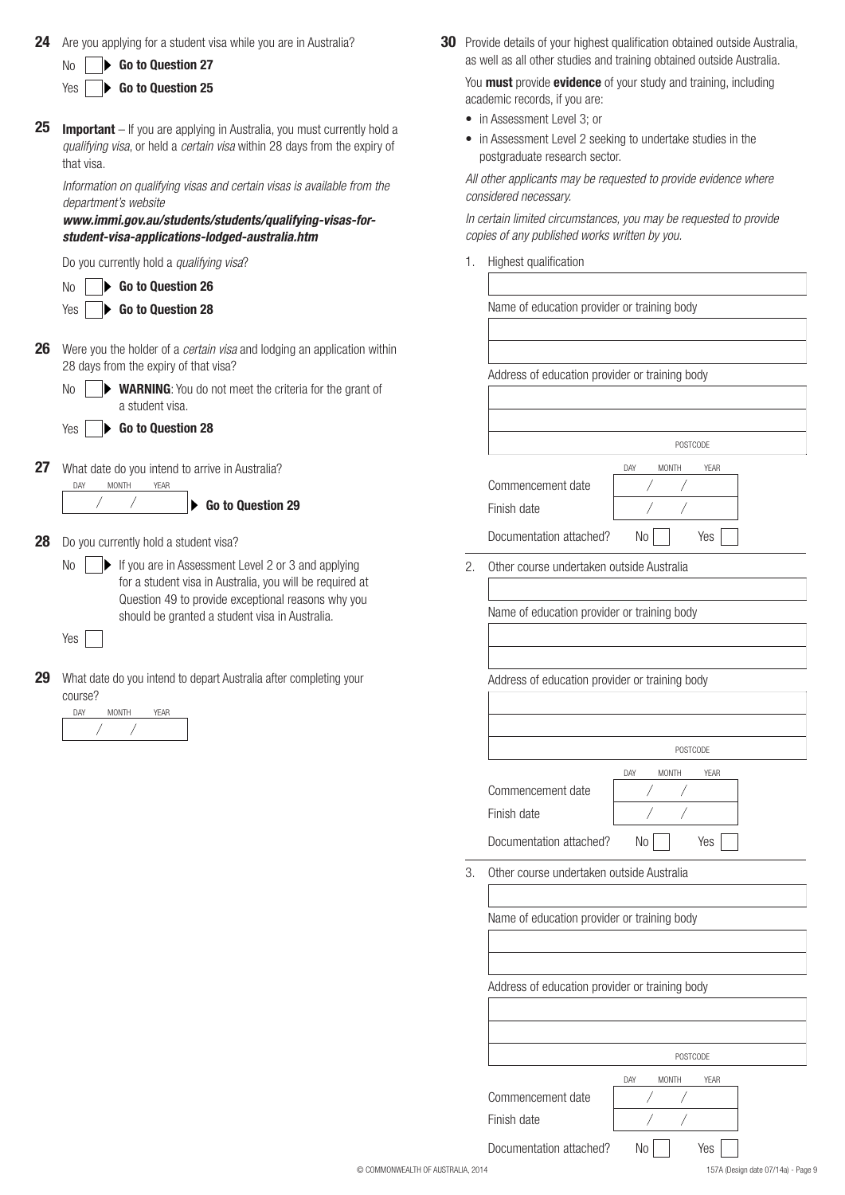| 24 | Are you applying for a student visa while you are in Australia?                                                                                                                   | 30 Provide details of your highest qualification obtained outside Australia,<br>as well as all other studies and training obtained outside Australia. |
|----|-----------------------------------------------------------------------------------------------------------------------------------------------------------------------------------|-------------------------------------------------------------------------------------------------------------------------------------------------------|
|    | Go to Question 27<br><b>No</b><br>Go to Question 25<br>Yes                                                                                                                        | You must provide evidence of your study and training, including<br>academic records, if you are:                                                      |
|    |                                                                                                                                                                                   | • in Assessment Level 3; or                                                                                                                           |
| 25 | <b>Important</b> - If you are applying in Australia, you must currently hold a<br>qualifying visa, or held a certain visa within 28 days from the expiry of<br>that visa.         | • in Assessment Level 2 seeking to undertake studies in the<br>postgraduate research sector.                                                          |
|    | Information on qualifying visas and certain visas is available from the<br>department's website                                                                                   | All other applicants may be requested to provide evidence where<br>considered necessary.                                                              |
|    | www.immi.gov.au/students/students/qualifying-visas-for-<br>student-visa-applications-lodged-australia.htm                                                                         | In certain limited circumstances, you may be requested to provide<br>copies of any published works written by you.                                    |
|    | Do you currently hold a qualifying visa?                                                                                                                                          | Highest qualification<br>1.                                                                                                                           |
|    | Go to Question 26<br>No.                                                                                                                                                          |                                                                                                                                                       |
|    | Go to Question 28<br>Yes                                                                                                                                                          | Name of education provider or training body                                                                                                           |
| 26 | Were you the holder of a certain visa and lodging an application within<br>28 days from the expiry of that visa?                                                                  | Address of education provider or training body                                                                                                        |
|    | WARNING: You do not meet the criteria for the grant of<br>No<br>a student visa.                                                                                                   |                                                                                                                                                       |
|    | Go to Question 28<br>Yes                                                                                                                                                          |                                                                                                                                                       |
| 27 |                                                                                                                                                                                   | POSTCODE<br>DAY<br><b>MONTH</b><br>YEAR                                                                                                               |
|    | What date do you intend to arrive in Australia?<br><b>MONTH</b><br>YEAR<br>DAY                                                                                                    | Commencement date                                                                                                                                     |
|    | Go to Question 29                                                                                                                                                                 | Finish date                                                                                                                                           |
| 28 | Do you currently hold a student visa?                                                                                                                                             | Documentation attached?<br>No.<br>Yes                                                                                                                 |
|    | If you are in Assessment Level 2 or 3 and applying<br><b>No</b><br>for a student visa in Australia, you will be required at<br>Question 49 to provide exceptional reasons why you | 2.<br>Other course undertaken outside Australia<br>Name of education provider or training body                                                        |
|    | should be granted a student visa in Australia.<br>Yes                                                                                                                             |                                                                                                                                                       |
| 29 | What date do you intend to depart Australia after completing your<br>course?                                                                                                      | Address of education provider or training body                                                                                                        |
|    | DAY<br><b>MONTH</b><br>YEAR                                                                                                                                                       |                                                                                                                                                       |
|    |                                                                                                                                                                                   | POSTCODE                                                                                                                                              |
|    |                                                                                                                                                                                   | <b>MONTH</b><br><b>YEAR</b><br>DAY                                                                                                                    |
|    |                                                                                                                                                                                   | Commencement date                                                                                                                                     |
|    |                                                                                                                                                                                   | Finish date                                                                                                                                           |
|    |                                                                                                                                                                                   | Documentation attached?<br>Yes<br>No                                                                                                                  |
|    |                                                                                                                                                                                   | Other course undertaken outside Australia<br>3.                                                                                                       |
|    |                                                                                                                                                                                   | Name of education provider or training body                                                                                                           |
|    |                                                                                                                                                                                   |                                                                                                                                                       |
|    |                                                                                                                                                                                   |                                                                                                                                                       |
|    |                                                                                                                                                                                   | Address of education provider or training body                                                                                                        |
|    |                                                                                                                                                                                   |                                                                                                                                                       |
|    |                                                                                                                                                                                   | POSTCODE                                                                                                                                              |
|    |                                                                                                                                                                                   | <b>MONTH</b><br>DAY<br>YEAR<br>Commencement date                                                                                                      |
|    |                                                                                                                                                                                   | Finish date                                                                                                                                           |

Documentation attached? No No Yes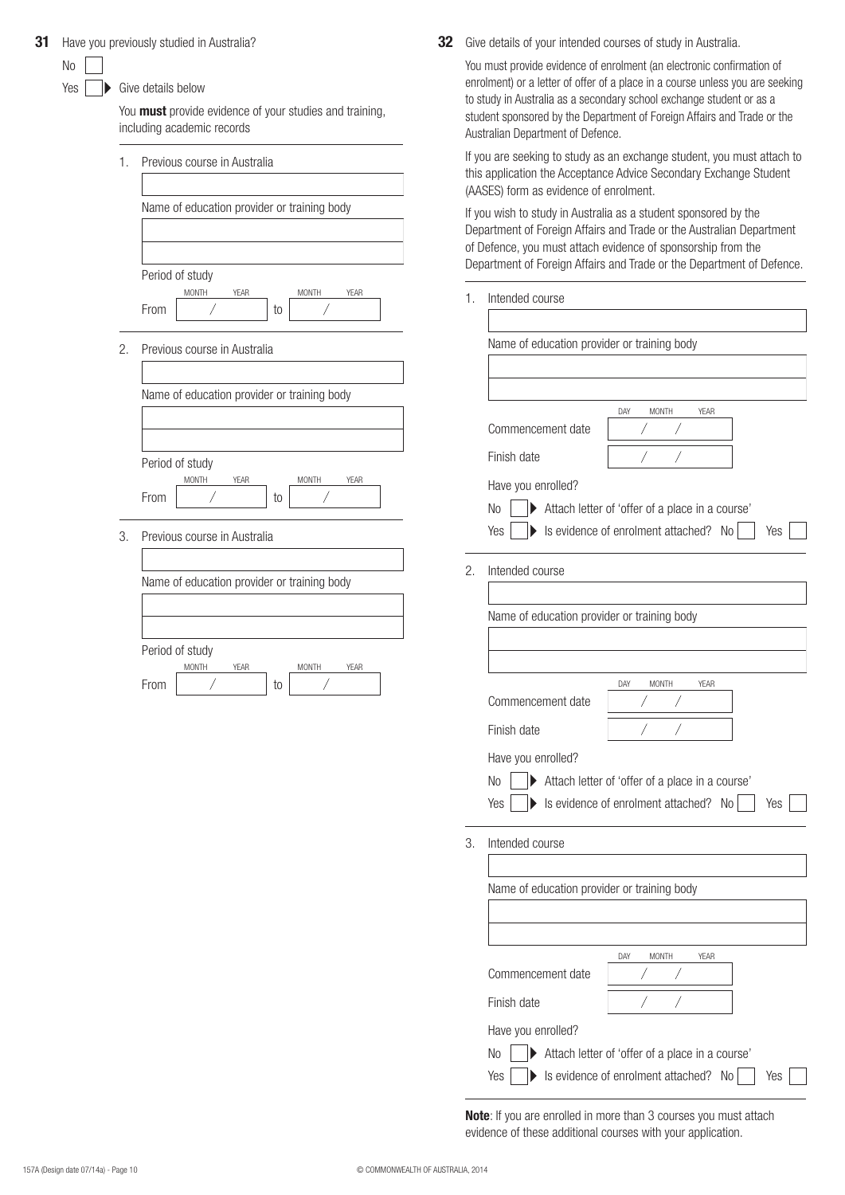|  |  | 31 Have you previously studied in Australia? |  |  |  |
|--|--|----------------------------------------------|--|--|--|
|--|--|----------------------------------------------|--|--|--|

Give details below

You **must** provide evidence of your studies and training, including academic records

| 1. | Previous course in Australia                                                  |
|----|-------------------------------------------------------------------------------|
|    |                                                                               |
|    | Name of education provider or training body                                   |
|    |                                                                               |
|    |                                                                               |
|    | Period of study                                                               |
|    | MONTH<br><b>YEAR</b><br>MONTH<br><b>YEAR</b><br>From<br>Τ<br>to               |
| 2. | Previous course in Australia                                                  |
|    | Name of education provider or training body                                   |
|    |                                                                               |
|    | Period of study                                                               |
|    | <b>MONTH</b><br><b>YEAR</b><br><b>MONTH</b><br><b>YEAR</b><br>From<br>to<br>Τ |
| 3. | Previous course in Australia                                                  |
|    | Name of education provider or training body                                   |
|    |                                                                               |
|    |                                                                               |
|    | Period of study                                                               |
|    | MONTH<br><b>YEAR</b><br>MONTH<br><b>YEAR</b><br>From<br>to                    |
|    |                                                                               |

**32** Give details of your intended courses of study in Australia.

You must provide evidence of enrolment (an electronic confirmation of enrolment) or a letter of offer of a place in a course unless you are seeking to study in Australia as a secondary school exchange student or as a student sponsored by the Department of Foreign Affairs and Trade or the Australian Department of Defence.

If you are seeking to study as an exchange student, you must attach to this application the Acceptance Advice Secondary Exchange Student (AASES) form as evidence of enrolment.

If you wish to study in Australia as a student sponsored by the Department of Foreign Affairs and Trade or the Australian Department of Defence, you must attach evidence of sponsorship from the Department of Foreign Affairs and Trade or the Department of Defence.

| Intended course<br>1 |
|----------------------|
|----------------------|

| Name of education provider or training body |                                                      |
|---------------------------------------------|------------------------------------------------------|
|                                             |                                                      |
|                                             |                                                      |
|                                             | DAY<br>MONTH<br><b>YEAR</b>                          |
| Commencement date                           |                                                      |
| Finish date                                 |                                                      |
| Have you enrolled?                          |                                                      |
| No                                          | Attach letter of 'offer of a place in a course'      |
| Yes                                         | Similar is evidence of enrolment attached? No<br>Yes |
| Intended course                             |                                                      |
|                                             |                                                      |
| Name of education provider or training body |                                                      |
|                                             |                                                      |
|                                             |                                                      |
|                                             |                                                      |
| Commencement date                           | YEAR<br>DAY<br><b>MONTH</b>                          |
|                                             |                                                      |
| Finish date                                 |                                                      |
| Have you enrolled?                          |                                                      |
| No                                          | Attach letter of 'offer of a place in a course'      |
| Yes<br>$\blacktriangleright$                | Is evidence of enrolment attached? No<br>Yes         |
|                                             |                                                      |
| Intended course                             |                                                      |
|                                             |                                                      |
| Name of education provider or training body |                                                      |
|                                             |                                                      |
|                                             |                                                      |
|                                             | DAY<br>YEAR<br>MONTH                                 |
| Commencement date                           |                                                      |
| Finish date                                 | Τ<br>Γ                                               |
|                                             |                                                      |
| Have you enrolled?<br>No                    | Attach letter of 'offer of a place in a course'      |

**Note**: If you are enrolled in more than 3 courses you must attach evidence of these additional courses with your application.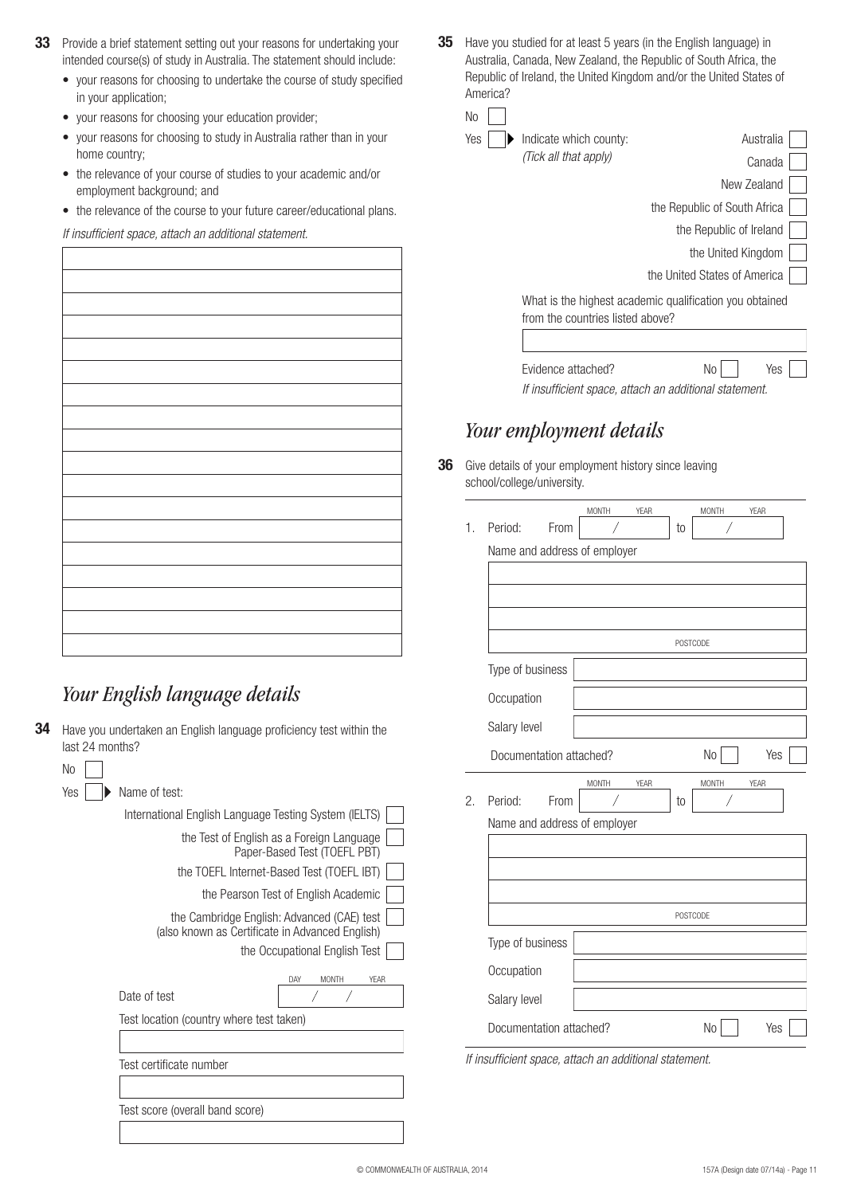- **33** Provide a brief statement setting out your reasons for undertaking your intended course(s) of study in Australia. The statement should include:
	- your reasons for choosing to undertake the course of study specified in your application;
	- • your reasons for choosing your education provider;
	- your reasons for choosing to study in Australia rather than in your home country;
	- the relevance of your course of studies to your academic and/or employment background; and
	- the relevance of the course to your future career/educational plans.

*If insufficient space, attach an additional statement.*

# *Your English language details*

**34** Have you undertaken an English language proficiency test within the last 24 months?

| No  |                                                                                               |
|-----|-----------------------------------------------------------------------------------------------|
| Yes | Name of test:                                                                                 |
|     | International English Language Testing System (IELTS)                                         |
|     | the Test of English as a Foreign Language<br>Paper-Based Test (TOEFL PBT)                     |
|     | the TOEFL Internet-Based Test (TOEFL IBT)                                                     |
|     | the Pearson Test of English Academic                                                          |
|     | the Cambridge English: Advanced (CAE) test<br>(also known as Certificate in Advanced English) |
|     | the Occupational English Test                                                                 |
|     | YFAR<br>DAY<br><b>MONTH</b>                                                                   |
|     | Date of test                                                                                  |
|     | Test location (country where test taken)                                                      |
|     |                                                                                               |
|     | Test certificate number                                                                       |
|     |                                                                                               |
|     | Test score (overall band score)                                                               |
|     |                                                                                               |

**35** Have you studied for at least 5 years (in the English language) in Australia, Canada, New Zealand, the Republic of South Africa, the Republic of Ireland, the United Kingdom and/or the United States of America?

No Yes

| Indicate which county:           | Australia                                               |
|----------------------------------|---------------------------------------------------------|
| (Tick all that apply)            | Canada                                                  |
|                                  | New Zealand                                             |
|                                  | the Republic of South Africa                            |
|                                  | the Republic of Ireland                                 |
|                                  | the United Kingdom                                      |
|                                  | the United States of America                            |
| from the countries listed above? | What is the highest academic qualification you obtained |
|                                  |                                                         |

Evidence attached? No No Yes *If insufficient space, attach an additional statement.*

# *Your employment details*

**36** Give details of your employment history since leaving school/college/university.

| 1. | Period:<br>From              | <b>MONTH</b> | YEAR   | to       | <b>MONTH</b> | YEAR |  |
|----|------------------------------|--------------|--------|----------|--------------|------|--|
|    | Name and address of employer |              |        |          |              |      |  |
|    |                              |              |        |          |              |      |  |
|    |                              |              |        |          |              |      |  |
|    |                              |              |        |          |              |      |  |
|    |                              |              |        | POSTCODE |              |      |  |
|    | Type of business             |              |        |          |              |      |  |
|    | Occupation                   |              |        |          |              |      |  |
|    | Salary level                 |              |        |          |              |      |  |
|    | Documentation attached?      |              |        |          | No           | Yes  |  |
|    |                              | <b>MONTH</b> | YEAR   |          | <b>MONTH</b> | YEAR |  |
| 2. | Period:<br>From              |              |        | to       | Τ            |      |  |
|    | Name and address of employer |              |        |          |              |      |  |
|    |                              |              |        |          |              |      |  |
|    |                              |              |        |          |              |      |  |
|    |                              |              |        |          |              |      |  |
|    |                              |              |        | POSTCODE |              |      |  |
|    | Type of business             |              |        |          |              |      |  |
|    | Occupation                   |              |        |          |              |      |  |
|    | Salary level                 |              |        |          |              |      |  |
|    | Documentation attached?      |              |        |          | No           | Yes  |  |
|    |                              |              | 1.11.1 |          |              |      |  |

*If insufficient space, attach an additional statement.*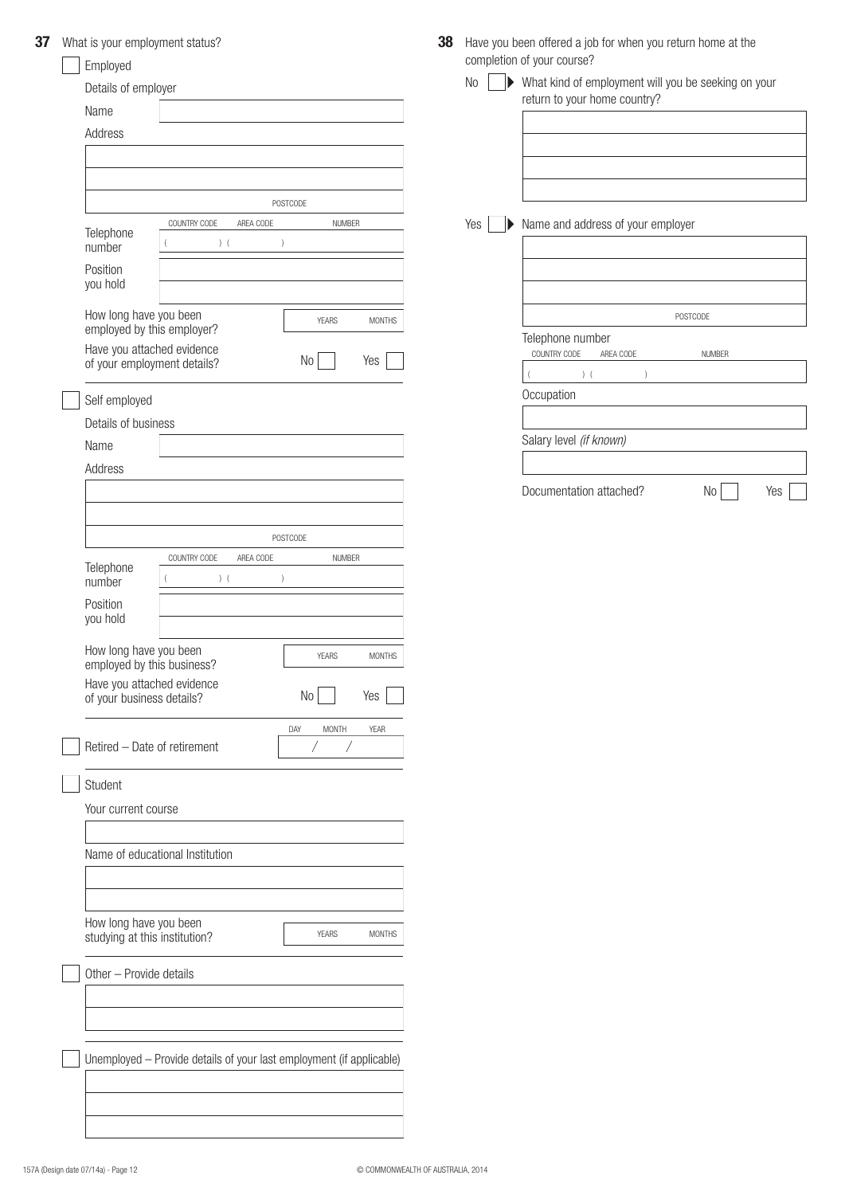| 37 | What is your employment status? |
|----|---------------------------------|
|----|---------------------------------|

| What is your employment status?                         |                                                                      |                               | 38 |                             | Have you been offered a job for when you return home at the |               |     |
|---------------------------------------------------------|----------------------------------------------------------------------|-------------------------------|----|-----------------------------|-------------------------------------------------------------|---------------|-----|
| Employed                                                |                                                                      |                               |    |                             | completion of your course?                                  |               |     |
| Details of employer                                     |                                                                      |                               |    | No<br>$\blacktriangleright$ | What kind of employment will you be seeking on your         |               |     |
| Name                                                    |                                                                      |                               |    |                             | return to your home country?                                |               |     |
| Address                                                 |                                                                      |                               |    |                             |                                                             |               |     |
|                                                         |                                                                      |                               |    |                             |                                                             |               |     |
|                                                         |                                                                      |                               |    |                             |                                                             |               |     |
|                                                         |                                                                      | POSTCODE                      |    |                             |                                                             |               |     |
|                                                         | COUNTRY CODE<br>AREA CODE                                            | <b>NUMBER</b>                 |    | Yes<br>▶                    | Name and address of your employer                           |               |     |
| Telephone<br>number                                     | $)$ (<br>$\left( \right)$                                            |                               |    |                             |                                                             |               |     |
| Position<br>you hold                                    |                                                                      |                               |    |                             |                                                             |               |     |
| How long have you been<br>employed by this employer?    |                                                                      | <b>YEARS</b><br><b>MONTHS</b> |    |                             |                                                             | POSTCODE      |     |
| Have you attached evidence                              |                                                                      |                               |    |                             | Telephone number<br>COUNTRY CODE<br>AREA CODE               | <b>NUMBER</b> |     |
| of your employment details?                             |                                                                      | No<br>Yes                     |    |                             | ) (<br>$\lambda$                                            |               |     |
| Self employed                                           |                                                                      |                               |    |                             | Occupation                                                  |               |     |
| Details of business                                     |                                                                      |                               |    |                             |                                                             |               |     |
| Name                                                    |                                                                      |                               |    |                             | Salary level (if known)                                     |               |     |
| Address                                                 |                                                                      |                               |    |                             |                                                             |               |     |
|                                                         |                                                                      |                               |    |                             | Documentation attached?                                     | No            | Yes |
|                                                         |                                                                      |                               |    |                             |                                                             |               |     |
|                                                         |                                                                      |                               |    |                             |                                                             |               |     |
|                                                         | COUNTRY CODE<br>AREA CODE                                            | POSTCODE<br><b>NUMBER</b>     |    |                             |                                                             |               |     |
| Telephone<br>number                                     | ) (<br>$\left( \right)$                                              |                               |    |                             |                                                             |               |     |
| Position<br>you hold                                    |                                                                      |                               |    |                             |                                                             |               |     |
| How long have you been<br>employed by this business?    |                                                                      | <b>YEARS</b><br><b>MONTHS</b> |    |                             |                                                             |               |     |
| Have you attached evidence<br>of your business details? |                                                                      | $\rm No$<br>Yes               |    |                             |                                                             |               |     |
|                                                         |                                                                      | <b>MONTH</b><br>YEAR<br>DAY   |    |                             |                                                             |               |     |
| Retired - Date of retirement                            |                                                                      | Τ<br>Τ                        |    |                             |                                                             |               |     |
| Student                                                 |                                                                      |                               |    |                             |                                                             |               |     |
| Your current course                                     |                                                                      |                               |    |                             |                                                             |               |     |
|                                                         |                                                                      |                               |    |                             |                                                             |               |     |
| Name of educational Institution                         |                                                                      |                               |    |                             |                                                             |               |     |
|                                                         |                                                                      |                               |    |                             |                                                             |               |     |
|                                                         |                                                                      |                               |    |                             |                                                             |               |     |
| How long have you been<br>studying at this institution? |                                                                      | <b>YEARS</b><br><b>MONTHS</b> |    |                             |                                                             |               |     |
| Other - Provide details                                 |                                                                      |                               |    |                             |                                                             |               |     |
|                                                         |                                                                      |                               |    |                             |                                                             |               |     |
|                                                         |                                                                      |                               |    |                             |                                                             |               |     |
|                                                         |                                                                      |                               |    |                             |                                                             |               |     |
|                                                         | Unemployed - Provide details of your last employment (if applicable) |                               |    |                             |                                                             |               |     |
|                                                         |                                                                      |                               |    |                             |                                                             |               |     |
|                                                         |                                                                      |                               |    |                             |                                                             |               |     |
|                                                         |                                                                      |                               |    |                             |                                                             |               |     |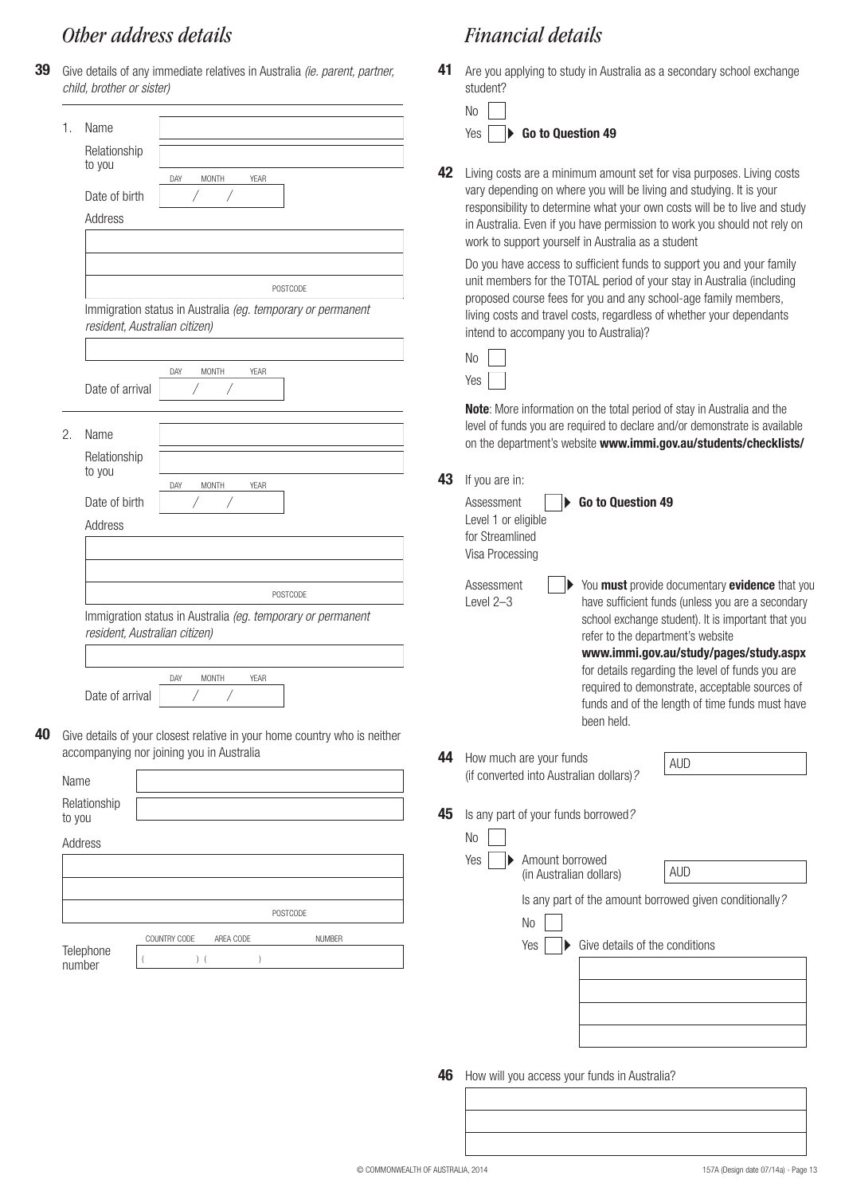# *Other address details*

**39** Give details of any immediate relatives in Australia *(ie. parent, partner, child, brother or sister)*

|                | Name                                             |                                                                                                   |    | No<br>Go to Question 49<br>Yes                                                                                                                                                                                                                                                             |
|----------------|--------------------------------------------------|---------------------------------------------------------------------------------------------------|----|--------------------------------------------------------------------------------------------------------------------------------------------------------------------------------------------------------------------------------------------------------------------------------------------|
|                | Relationship<br>to you<br>Date of birth          | <b>MONTH</b><br>YEAR<br>DAY                                                                       | 42 | Living costs are a minimum amount set for visa purposes. Living costs<br>vary depending on where you will be living and studying. It is your<br>responsibility to determine what your own costs will be to live and study                                                                  |
|                | Address                                          |                                                                                                   |    | in Australia. Even if you have permission to work you should not rely on<br>work to support yourself in Australia as a student                                                                                                                                                             |
|                |                                                  | POSTCODE<br>Immigration status in Australia (eg. temporary or permanent                           |    | Do you have access to sufficient funds to support you and your family<br>unit members for the TOTAL period of your stay in Australia (including<br>proposed course fees for you and any school-age family members,<br>living costs and travel costs, regardless of whether your dependants |
|                | resident, Australian citizen)                    |                                                                                                   |    | intend to accompany you to Australia)?<br>N <sub>o</sub>                                                                                                                                                                                                                                   |
|                | Date of arrival                                  | DAY<br><b>MONTH</b><br><b>YEAR</b>                                                                |    | Yes                                                                                                                                                                                                                                                                                        |
| 2.             | Name<br>Relationship                             |                                                                                                   |    | Note: More information on the total period of stay in Australia and the<br>level of funds you are required to declare and/or demonstrate is available<br>on the department's website www.immi.gov.au/students/checklists/                                                                  |
|                | to you                                           | DAY<br><b>MONTH</b><br>YEAR                                                                       | 43 | If you are in:                                                                                                                                                                                                                                                                             |
|                | Date of birth<br>Address                         |                                                                                                   |    | Go to Question 49<br>Assessment<br>Level 1 or eligible<br>for Streamlined<br>Visa Processing                                                                                                                                                                                               |
|                | POSTCODE                                         |                                                                                                   |    | You must provide documentary evidence that you<br>Assessment<br>have sufficient funds (unless you are a secondary<br>Level 2-3                                                                                                                                                             |
|                | resident, Australian citizen)<br>Date of arrival | Immigration status in Australia (eg. temporary or permanent<br><b>MONTH</b><br>DAY<br><b>YEAR</b> |    | school exchange student). It is important that you<br>refer to the department's website<br>www.immi.gov.au/study/pages/study.aspx<br>for details regarding the level of funds you are<br>required to demonstrate, acceptable sources of                                                    |
|                |                                                  | Give details of your closest relative in your home country who is neither                         |    | funds and of the length of time funds must have<br>been held.                                                                                                                                                                                                                              |
|                |                                                  | accompanying nor joining you in Australia                                                         | 44 | How much are your funds<br><b>AUD</b><br>(if converted into Australian dollars)?                                                                                                                                                                                                           |
| Name<br>to you | Relationship                                     |                                                                                                   | 45 | Is any part of your funds borrowed?                                                                                                                                                                                                                                                        |
|                | Address                                          |                                                                                                   |    | N <sub>o</sub>                                                                                                                                                                                                                                                                             |
|                |                                                  |                                                                                                   |    | Amount borrowed<br>Yes<br><b>AUD</b><br>(in Australian dollars)                                                                                                                                                                                                                            |
|                |                                                  | POSTCODE                                                                                          |    | Is any part of the amount borrowed given conditionally?<br>No                                                                                                                                                                                                                              |
|                | Telephone<br>number                              | <b>NUMBER</b><br>COUNTRY CODE<br>AREA CODE<br>$)$ (                                               |    | Give details of the conditions<br>Yes                                                                                                                                                                                                                                                      |
|                |                                                  |                                                                                                   |    |                                                                                                                                                                                                                                                                                            |
|                |                                                  |                                                                                                   |    |                                                                                                                                                                                                                                                                                            |
|                |                                                  |                                                                                                   | 46 | How will you access your funds in Australia?                                                                                                                                                                                                                                               |
|                |                                                  |                                                                                                   |    |                                                                                                                                                                                                                                                                                            |

**41** Are you applying to study in Australia as a secondary school exchange

student?

*Financial details*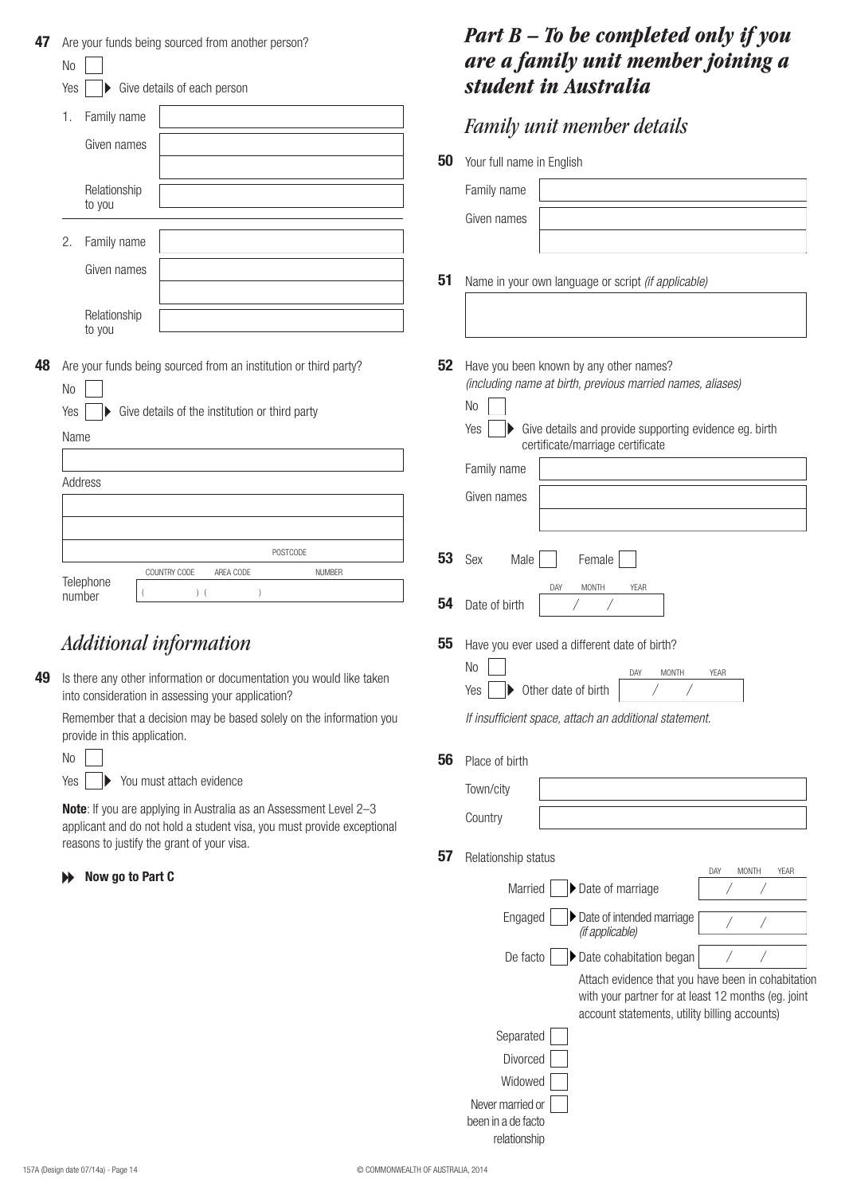| 47 | Are your funds being sourced from another person?<br>No                                                                                                                                          |    | <b>Part B</b> $-$ To be completed only if you<br>are a family unit member joining a                       |
|----|--------------------------------------------------------------------------------------------------------------------------------------------------------------------------------------------------|----|-----------------------------------------------------------------------------------------------------------|
|    | Give details of each person<br>Yes                                                                                                                                                               |    | student in Australia                                                                                      |
|    | Family name<br>1.<br>Given names                                                                                                                                                                 |    | <b>Family unit member details</b>                                                                         |
|    |                                                                                                                                                                                                  | 50 | Your full name in English                                                                                 |
|    | Relationship<br>to you                                                                                                                                                                           |    | Family name                                                                                               |
|    | Family name<br>2.                                                                                                                                                                                |    | Given names                                                                                               |
|    | Given names                                                                                                                                                                                      | 51 | Name in your own language or script (if applicable)                                                       |
|    | Relationship                                                                                                                                                                                     |    |                                                                                                           |
|    | to you                                                                                                                                                                                           |    |                                                                                                           |
| 48 | Are your funds being sourced from an institution or third party?<br>No                                                                                                                           | 52 | Have you been known by any other names?<br>(including name at birth, previous married names, aliases)     |
|    | Give details of the institution or third party<br>Yes                                                                                                                                            |    | N <sub>0</sub><br>Give details and provide supporting evidence eg. birth<br>Yes                           |
|    | Name                                                                                                                                                                                             |    | certificate/marriage certificate                                                                          |
|    | Address                                                                                                                                                                                          |    | Family name                                                                                               |
|    |                                                                                                                                                                                                  |    | Given names                                                                                               |
|    | POSTCODE                                                                                                                                                                                         | 53 | Sex<br>Female<br>Male                                                                                     |
|    | AREA CODE<br>COUNTRY CODE<br><b>NUMBER</b><br>Telephone                                                                                                                                          |    | DAY<br><b>MONTH</b><br>YEAR                                                                               |
|    | $)$ (<br>number                                                                                                                                                                                  | 54 | Date of birth                                                                                             |
|    | <b>Additional information</b>                                                                                                                                                                    | 55 | Have you ever used a different date of birth?                                                             |
| 49 | Is there any other information or documentation you would like taken<br>into consideration in assessing your application?                                                                        |    | No<br><b>MONTH</b><br>DAY<br><b>YEAR</b><br>Other date of birth<br>Yes                                    |
|    | Remember that a decision may be based solely on the information you<br>provide in this application.                                                                                              |    | If insufficient space, attach an additional statement.                                                    |
|    | No                                                                                                                                                                                               | 56 | Place of birth                                                                                            |
|    | You must attach evidence<br>Yes                                                                                                                                                                  |    | Town/city                                                                                                 |
|    | <b>Note:</b> If you are applying in Australia as an Assessment Level 2-3<br>applicant and do not hold a student visa, you must provide exceptional<br>reasons to justify the grant of your visa. |    | Country                                                                                                   |
|    |                                                                                                                                                                                                  | 57 | Relationship status<br><b>MONTH</b><br>DAY<br>YEAR                                                        |
|    | Now go to Part C<br>₩                                                                                                                                                                            |    | Date of marriage<br>Married                                                                               |
|    |                                                                                                                                                                                                  |    | Date of intended marriage<br>Engaged<br>(if applicable)                                                   |
|    |                                                                                                                                                                                                  |    | Date cohabitation began<br>De facto                                                                       |
|    |                                                                                                                                                                                                  |    | Attach evidence that you have been in cohabitation<br>with your partner for at least 12 months (eg. joint |
|    |                                                                                                                                                                                                  |    | account statements, utility billing accounts)<br>Separated                                                |
|    |                                                                                                                                                                                                  |    | Divorced                                                                                                  |
|    |                                                                                                                                                                                                  |    | Widowed                                                                                                   |
|    |                                                                                                                                                                                                  |    | Never married or                                                                                          |
|    |                                                                                                                                                                                                  |    | been in a de facto<br>relationship                                                                        |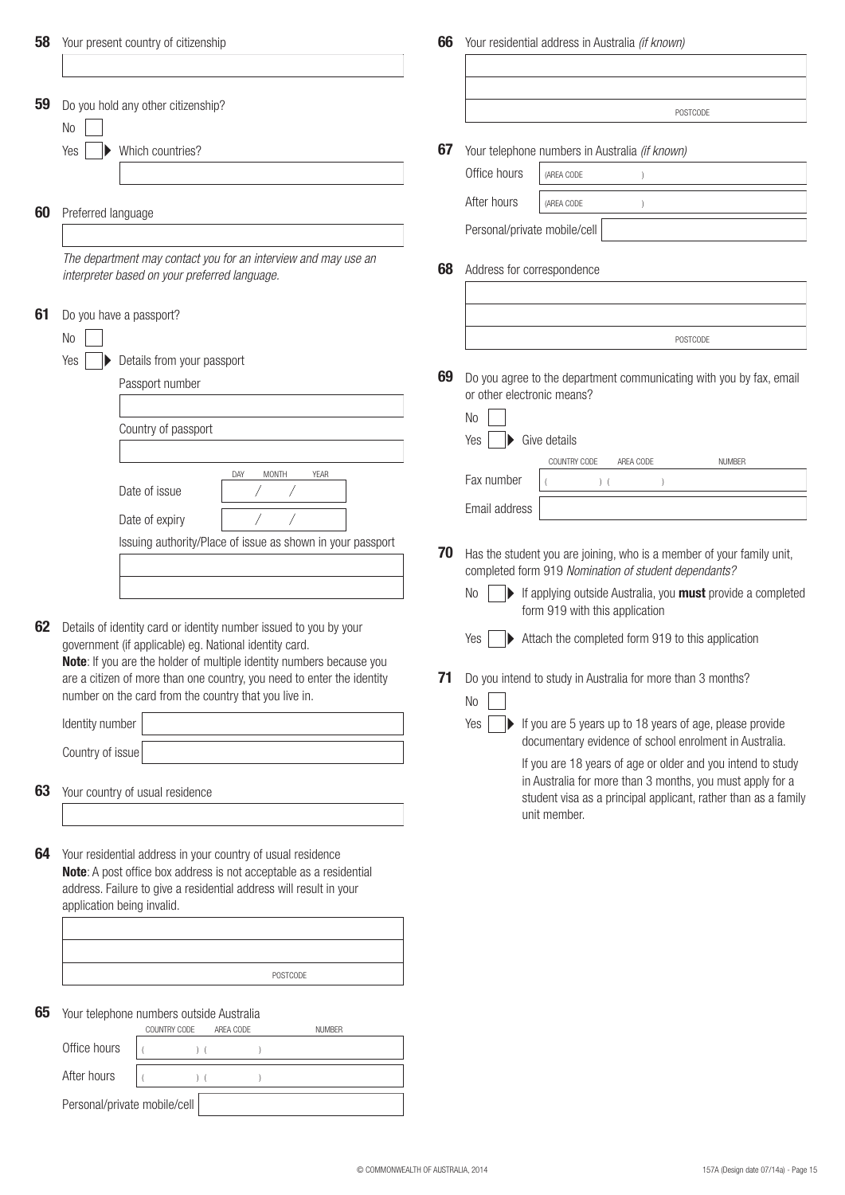| 58 | Your present country of citizenship                                                                                               | 66 | Your residential address in Australia (if known)                                                                              |
|----|-----------------------------------------------------------------------------------------------------------------------------------|----|-------------------------------------------------------------------------------------------------------------------------------|
|    |                                                                                                                                   |    |                                                                                                                               |
| 59 | Do you hold any other citizenship?                                                                                                |    | POSTCODE                                                                                                                      |
|    | No                                                                                                                                |    |                                                                                                                               |
|    | Which countries?<br>Yes                                                                                                           | 67 | Your telephone numbers in Australia (if known)                                                                                |
|    |                                                                                                                                   |    | Office hours<br>(AREA CODE                                                                                                    |
|    |                                                                                                                                   |    | After hours                                                                                                                   |
| 60 | Preferred language                                                                                                                |    | (AREA CODE                                                                                                                    |
|    |                                                                                                                                   |    | Personal/private mobile/cell                                                                                                  |
|    | The department may contact you for an interview and may use an<br>interpreter based on your preferred language.                   | 68 | Address for correspondence                                                                                                    |
|    |                                                                                                                                   |    |                                                                                                                               |
| 61 | Do you have a passport?                                                                                                           |    |                                                                                                                               |
|    | No                                                                                                                                |    | POSTCODE                                                                                                                      |
|    | Details from your passport<br>Yes                                                                                                 | 69 | Do you agree to the department communicating with you by fax, email                                                           |
|    | Passport number                                                                                                                   |    | or other electronic means?                                                                                                    |
|    |                                                                                                                                   |    | No                                                                                                                            |
|    | Country of passport                                                                                                               |    | Give details<br>Yes                                                                                                           |
|    |                                                                                                                                   |    | <b>NUMBER</b><br>COUNTRY CODE<br>AREA CODE                                                                                    |
|    | DAY<br><b>MONTH</b><br><b>YEAR</b>                                                                                                |    | Fax number<br>$)$ (                                                                                                           |
|    | Date of issue                                                                                                                     |    |                                                                                                                               |
|    | Date of expiry                                                                                                                    |    | Email address                                                                                                                 |
|    | Issuing authority/Place of issue as shown in your passport                                                                        |    |                                                                                                                               |
|    |                                                                                                                                   | 70 | Has the student you are joining, who is a member of your family unit,<br>completed form 919 Nomination of student dependants? |
|    |                                                                                                                                   |    | $\blacktriangleright$ If applying outside Australia, you <b>must</b> provide a completed<br><b>No</b>                         |
|    |                                                                                                                                   |    | form 919 with this application                                                                                                |
| 62 | Details of identity card or identity number issued to you by your                                                                 |    | Attach the completed form 919 to this application<br>Yes                                                                      |
|    | government (if applicable) eg. National identity card.<br>Note: If you are the holder of multiple identity numbers because you    |    |                                                                                                                               |
|    | are a citizen of more than one country, you need to enter the identity                                                            | 71 | Do you intend to study in Australia for more than 3 months?                                                                   |
|    | number on the card from the country that you live in.                                                                             |    | No                                                                                                                            |
|    | Identity number                                                                                                                   |    | Yes<br>If you are 5 years up to 18 years of age, please provide                                                               |
|    | Country of issue                                                                                                                  |    | documentary evidence of school enrolment in Australia.                                                                        |
|    |                                                                                                                                   |    | If you are 18 years of age or older and you intend to study<br>in Australia for more than 3 months, you must apply for a      |
| 63 | Your country of usual residence                                                                                                   |    | student visa as a principal applicant, rather than as a family                                                                |
|    |                                                                                                                                   |    | unit member.                                                                                                                  |
|    |                                                                                                                                   |    |                                                                                                                               |
| 64 | Your residential address in your country of usual residence<br>Note: A post office box address is not acceptable as a residential |    |                                                                                                                               |
|    | address. Failure to give a residential address will result in your                                                                |    |                                                                                                                               |
|    | application being invalid.                                                                                                        |    |                                                                                                                               |
|    |                                                                                                                                   |    |                                                                                                                               |
|    |                                                                                                                                   |    |                                                                                                                               |
|    | POSTCODE                                                                                                                          |    |                                                                                                                               |
|    |                                                                                                                                   |    |                                                                                                                               |
| 65 | Your telephone numbers outside Australia                                                                                          |    |                                                                                                                               |
|    | COUNTRY CODE<br>AREA CODE<br><b>NUMBER</b><br>Office hours                                                                        |    |                                                                                                                               |
|    | $)$ (                                                                                                                             |    |                                                                                                                               |
|    | After hours<br>(                                                                                                                  |    |                                                                                                                               |
|    | Personal/private mobile/cell                                                                                                      |    |                                                                                                                               |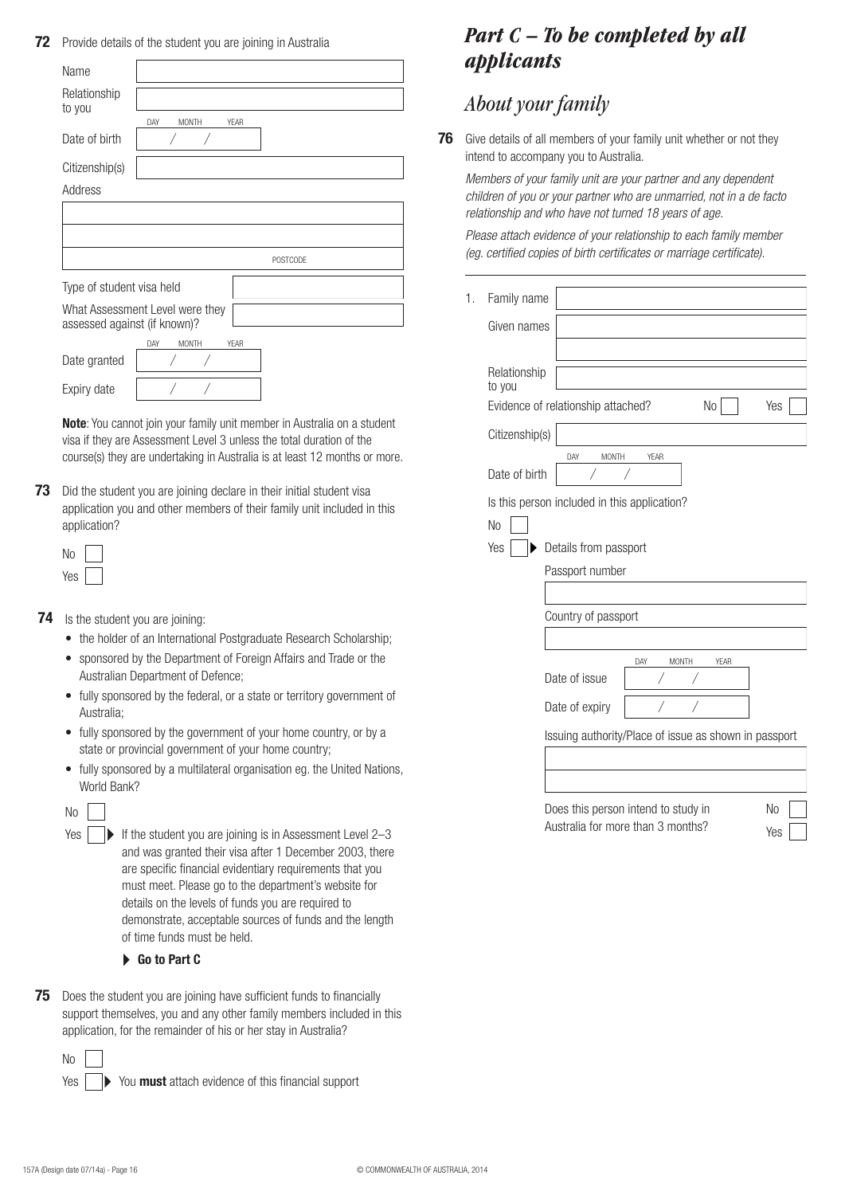**72** Provide details of the student you are joining in Australia

| Name                         |                                 |
|------------------------------|---------------------------------|
| Relationship<br>to you       |                                 |
|                              | YFAR<br>DAY<br><b>MONTH</b>     |
| Date of birth                |                                 |
| Citizenship(s)               |                                 |
| Address                      |                                 |
|                              |                                 |
|                              |                                 |
|                              | <b>POSTCODE</b>                 |
| Type of student visa held    |                                 |
| assessed against (if known)? | What Assessment Level were they |
|                              | YFAR<br><b>MONTH</b><br>DAY     |
| Date granted                 |                                 |
| Expiry date                  |                                 |

**Note**: You cannot join your family unit member in Australia on a student visa if they are Assessment Level 3 unless the total duration of the course(s) they are undertaking in Australia is at least 12 months or more.

**73** Did the student you are joining declare in their initial student visa application you and other members of their family unit included in this application?

- **74** Is the student you are joining:
	- the holder of an International Postgraduate Research Scholarship;
	- • sponsored by the Department of Foreign Affairs and Trade or the Australian Department of Defence;
	- fully sponsored by the federal, or a state or territory government of Australia;
	- fully sponsored by the government of your home country, or by a state or provincial government of your home country;
	- fully sponsored by a multilateral organisation eg. the United Nations, World Bank?

| $\sim$ |  |
|--------|--|
|        |  |

- If the student you are joining is in Assessment Level  $2-3$ and was granted their visa after 1 December 2003, there are specific financial evidentiary requirements that you must meet. Please go to the department's website for details on the levels of funds you are required to demonstrate, acceptable sources of funds and the length of time funds must be held. Yes |
	- **Go to Part C**
- **75** Does the student you are joining have sufficient funds to financially support themselves, you and any other family members included in this application, for the remainder of his or her stay in Australia?

No Yes

You **must** attach evidence of this financial support

# *Part C – To be completed by all applicants*

# *About your family*

1.

**76** Give details of all members of your family unit whether or not they intend to accompany you to Australia.

*Members of your family unit are your partner and any dependent children of you or your partner who are unmarried, not in a de facto relationship and who have not turned 18 years of age.*

*Please attach evidence of your relationship to each family member (eg. certified copies of birth certificates or marriage certificate).*

| Family name            |                                                             |
|------------------------|-------------------------------------------------------------|
| Given names            |                                                             |
| Relationship<br>to you |                                                             |
|                        | Evidence of relationship attached?<br>N <sub>o</sub><br>Yes |
| Citizenship(s)         |                                                             |
| Date of birth          | <b>MONTH</b><br>DAY<br><b>YEAR</b>                          |
|                        | Is this person included in this application?                |
| No                     |                                                             |
| Yes                    | Details from passport                                       |
|                        | Passport number                                             |
|                        |                                                             |
|                        | Country of passport                                         |
|                        |                                                             |
|                        | DAY<br><b>MONTH</b><br>YEAR<br>Date of issue                |
|                        | Date of expiry                                              |
|                        | Issuing authority/Place of issue as shown in passport       |
|                        |                                                             |
|                        |                                                             |
|                        | Does this person intend to study in<br>N <sub>0</sub>       |
|                        | Australia for more than 3 months?<br>Yes                    |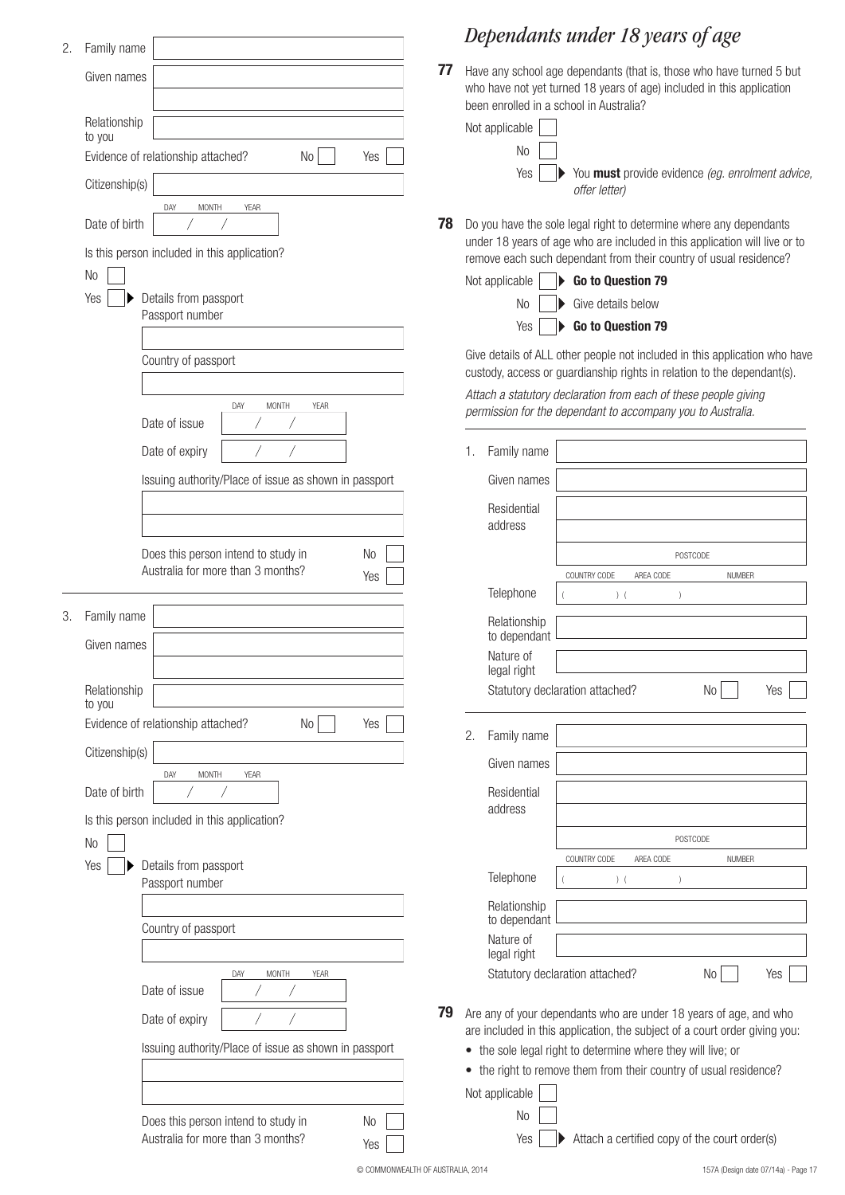| 2. | Family name                                                                          | Dependants under 18 years of age                                                                                                                                                      |    |
|----|--------------------------------------------------------------------------------------|---------------------------------------------------------------------------------------------------------------------------------------------------------------------------------------|----|
|    | Given names                                                                          | 77<br>Have any school age dependants (that is, those who have turned<br>who have not yet turned 18 years of age) included in this applicat<br>been enrolled in a school in Australia? |    |
|    | Relationship<br>to you                                                               | Not applicable                                                                                                                                                                        |    |
|    | Evidence of relationship attached?<br>Yes<br>No                                      | No                                                                                                                                                                                    |    |
|    | Citizenship(s)<br>YEAR                                                               | Yes<br>You must provide evidence (eg. enrolment<br>offer letter)                                                                                                                      |    |
|    | <b>MONTH</b><br>DAY<br>Date of birth<br>Is this person included in this application? | 78<br>Do you have the sole legal right to determine where any dependar<br>under 18 years of age who are included in this application will live                                        |    |
|    | N <sub>o</sub>                                                                       | remove each such dependant from their country of usual residenc                                                                                                                       |    |
|    | Yes<br>Details from passport                                                         | Go to Question 79<br>Not applicable<br>Give details below<br>No                                                                                                                       |    |
|    | Passport number                                                                      | Go to Question 79<br>Yes                                                                                                                                                              |    |
|    |                                                                                      |                                                                                                                                                                                       |    |
|    | Country of passport                                                                  | Give details of ALL other people not included in this application wl<br>custody, access or guardianship rights in relation to the dependan                                            |    |
|    |                                                                                      | Attach a statutory declaration from each of these people giving                                                                                                                       |    |
|    | DAY<br>MONTH<br>YEAR<br>Date of issue                                                | permission for the dependant to accompany you to Australia.                                                                                                                           |    |
|    |                                                                                      |                                                                                                                                                                                       |    |
|    | Date of expiry                                                                       | Family name<br>1.                                                                                                                                                                     |    |
|    | Issuing authority/Place of issue as shown in passport                                | Given names                                                                                                                                                                           |    |
|    |                                                                                      | Residential<br>address                                                                                                                                                                |    |
|    | Does this person intend to study in<br>No                                            | POSTCODE                                                                                                                                                                              |    |
|    | Australia for more than 3 months?<br>Yes                                             | COUNTRY CODE<br>AREA CODE<br><b>NUMBER</b>                                                                                                                                            |    |
|    |                                                                                      | Telephone<br>$)$ (<br>$\lambda$                                                                                                                                                       |    |
| 3. | Family name                                                                          | Relationship                                                                                                                                                                          |    |
|    | Given names                                                                          | to dependant<br>Nature of                                                                                                                                                             |    |
|    |                                                                                      | legal right                                                                                                                                                                           |    |
|    | Relationship<br>to you                                                               | No<br>Statutory declaration attached?                                                                                                                                                 | Ye |
|    | Evidence of relationship attached?<br>Yes<br>No                                      |                                                                                                                                                                                       |    |
|    | Citizenship(s)                                                                       | Family name<br>2.                                                                                                                                                                     |    |
|    | <b>MONTH</b><br>YEAR<br>DAY                                                          | Given names                                                                                                                                                                           |    |
|    | Date of birth                                                                        | Residential                                                                                                                                                                           |    |
|    | Is this person included in this application?                                         | address                                                                                                                                                                               |    |
|    | N <sub>0</sub>                                                                       | POSTCODE                                                                                                                                                                              |    |
|    | Yes<br>Details from passport                                                         | COUNTRY CODE<br>AREA CODE<br><b>NUMBER</b>                                                                                                                                            |    |
|    | Passport number                                                                      | Telephone<br>$)$ (                                                                                                                                                                    |    |
|    |                                                                                      | Relationship<br>to dependant                                                                                                                                                          |    |
|    | Country of passport                                                                  | Nature of                                                                                                                                                                             |    |
|    |                                                                                      | legal right                                                                                                                                                                           |    |
|    | MONTH<br>DAY<br>YEAR<br>Date of issue                                                | Statutory declaration attached?<br>No                                                                                                                                                 | Ye |
|    |                                                                                      | 79<br>Are any of your dependants who are under 18 years of age, and v                                                                                                                 |    |
|    | Date of expiry                                                                       | are included in this application, the subject of a court order giving                                                                                                                 |    |
|    | Issuing authority/Place of issue as shown in passport                                | • the sole legal right to determine where they will live; or                                                                                                                          |    |
|    |                                                                                      | • the right to remove them from their country of usual residence                                                                                                                      |    |
|    |                                                                                      | Not applicable                                                                                                                                                                        |    |
|    | Does this person intend to study in<br>No                                            | No                                                                                                                                                                                    |    |
|    | Australia for more than 3 months?<br>Yes                                             | Attach a certified copy of the court order(s)<br>Yes                                                                                                                                  |    |

# *Dependants under 18 years of age*

**Pants (that is, those who have turned 5 but** years of age) included in this application bustralia?

| plicable |                                                                                        |
|----------|----------------------------------------------------------------------------------------|
| $No$     |                                                                                        |
|          | Yes $\ \hspace{.8mm}\ $ You <b>must</b> provide evidence <i>(eg. enrolment advice,</i> |
|          | offer letter)                                                                          |

**78** John to determine where any dependants re included in this application will live or to it from their country of usual residence?

| Not applicable $\vert \quad \vert$ Go to Question 79            |
|-----------------------------------------------------------------|
| $\overline{N}$ $\overline{O}$ $\overline{O}$ Give details below |
| Yes   $\triangleright$ Go to Question 79                        |

ple not included in this application who have hip rights in relation to the dependant(s).

|                   | 1. | Family name                  |                                                                            |
|-------------------|----|------------------------------|----------------------------------------------------------------------------|
| shown in passport |    | Given names                  |                                                                            |
|                   |    | Residential                  |                                                                            |
|                   |    | address                      |                                                                            |
| No<br>Ί           |    |                              | POSTCODE                                                                   |
| Yes               |    |                              | COUNTRY CODE<br>AREA CODE<br><b>NUMBER</b>                                 |
|                   |    | Telephone                    | $\overline{(\ }$<br>$)$ (<br>$\left( \right)$                              |
|                   |    | Relationship<br>to dependant |                                                                            |
|                   |    | Nature of<br>legal right     |                                                                            |
|                   |    |                              | Statutory declaration attached?<br>No<br>Yes                               |
| Vo<br>Yes         |    |                              |                                                                            |
|                   | 2. | Family name                  |                                                                            |
|                   |    | Given names                  |                                                                            |
|                   |    | Residential                  |                                                                            |
|                   |    | address                      |                                                                            |
|                   |    |                              | POSTCODE                                                                   |
|                   |    |                              | COUNTRY CODE<br>AREA CODE<br><b>NUMBER</b>                                 |
|                   |    | Telephone                    | $)$ (<br>$\lambda$                                                         |
|                   |    | Relationship<br>to dependant |                                                                            |
|                   |    | Nature of<br>legal right     |                                                                            |
| YEAR              |    |                              | Statutory declaration attached?<br>No.<br>Yes                              |
| 79                |    |                              | Are any of your dependants who are under 18 years of age, and who          |
| shown in passport |    |                              | are included in this application, the subject of a court order giving you: |
|                   |    |                              | • the sole legal right to determine where they will live; or               |
|                   |    |                              | • the right to remove them from their country of usual residence?          |
|                   |    | Not applicable               |                                                                            |
| No<br>ገ           |    | N <sub>o</sub>               |                                                                            |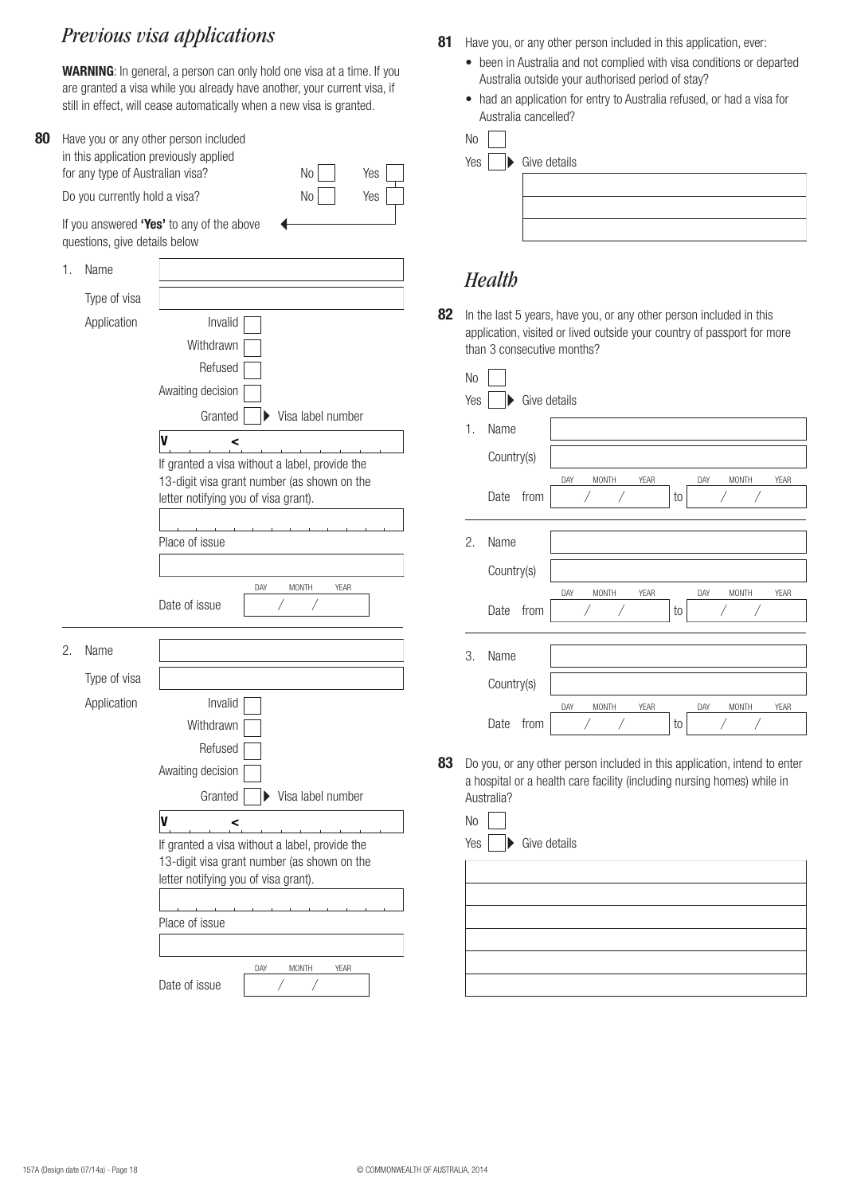# *Previous visa applications*

**WARNING**: In general, a person can only hold one visa at a time. If you are granted a visa while you already have another, your current visa, if still in effect, will cease automatically when a new visa is granted.

| 80 | Have you or any other person included<br>in this application previously applied<br>for any type of Australian visa?<br>No<br>Yes<br>No<br>Do you currently hold a visa?<br>Yes<br>If you answered "Yes' to any of the above<br>questions, give details below |                                     |                                                                                                                                                                                                                                         |  |  |  |  |
|----|--------------------------------------------------------------------------------------------------------------------------------------------------------------------------------------------------------------------------------------------------------------|-------------------------------------|-----------------------------------------------------------------------------------------------------------------------------------------------------------------------------------------------------------------------------------------|--|--|--|--|
|    |                                                                                                                                                                                                                                                              |                                     |                                                                                                                                                                                                                                         |  |  |  |  |
|    | 1.                                                                                                                                                                                                                                                           | Name<br>Type of visa<br>Application | 8<br>Invalid                                                                                                                                                                                                                            |  |  |  |  |
|    |                                                                                                                                                                                                                                                              |                                     | Withdrawn<br>Refused<br>Awaiting decision<br>Granted<br>Visa label number                                                                                                                                                               |  |  |  |  |
|    |                                                                                                                                                                                                                                                              |                                     | V<br><<br>If granted a visa without a label, provide the<br>13-digit visa grant number (as shown on the<br>letter notifying you of visa grant).<br>Place of issue                                                                       |  |  |  |  |
|    |                                                                                                                                                                                                                                                              |                                     | <b>MONTH</b><br>YEAR<br>DAY<br>Date of issue                                                                                                                                                                                            |  |  |  |  |
|    | 2.                                                                                                                                                                                                                                                           | Name<br>Type of visa<br>Application | Invalid<br>Withdrawn<br>Refused<br>Awaiting decision<br>Granted<br>Visa label number<br>V<br><<br>If granted a visa without a label, provide the<br>13-digit visa grant number (as shown on the<br>letter notifying you of visa grant). |  |  |  |  |
|    |                                                                                                                                                                                                                                                              |                                     | Place of issue<br>DAY<br>MONTH<br>YEAR<br>Date of issue                                                                                                                                                                                 |  |  |  |  |

- **81** Have you, or any other person included in this application, ever:
	- been in Australia and not complied with visa conditions or departed Australia outside your authorised period of stay?
	- had an application for entry to Australia refused, or had a visa for Australia cancelled?

| N <sub>0</sub> |                               |
|----------------|-------------------------------|
| Yes            | $\triangleright$ Give details |
|                |                               |
|                |                               |

# *Health*

| 82 | In the last 5 years, have you, or any other person included in this     |
|----|-------------------------------------------------------------------------|
|    | application, visited or lived outside your country of passport for more |
|    | than 3 consecutive months?                                              |

|    | No  |              |                                                                           |             |                     |             |
|----|-----|--------------|---------------------------------------------------------------------------|-------------|---------------------|-------------|
|    | Yes |              | Give details                                                              |             |                     |             |
|    | 1.  | Name         |                                                                           |             |                     |             |
|    |     | Country(s)   |                                                                           |             |                     |             |
|    |     |              | DAY<br><b>MONTH</b>                                                       | <b>YEAR</b> | DAY<br><b>MONTH</b> | <b>YEAR</b> |
|    |     | Date<br>from |                                                                           | to          |                     |             |
|    | 2.  | Name         |                                                                           |             |                     |             |
|    |     | Country(s)   |                                                                           |             |                     |             |
|    |     |              | DAY<br><b>MONTH</b>                                                       | YEAR        | <b>MONTH</b><br>DAY | YEAR        |
|    |     | from<br>Date | Τ                                                                         | to          |                     |             |
|    | 3.  | Name         |                                                                           |             |                     |             |
|    |     | Country(s)   |                                                                           |             |                     |             |
|    |     |              | DAY<br><b>MONTH</b>                                                       | <b>YEAR</b> | DAY<br><b>MONTH</b> | <b>YEAR</b> |
|    |     | Date<br>from |                                                                           | to          | Τ                   |             |
| 83 |     |              | Do you, or any other person included in this application, intend to enter |             |                     |             |

- a hospital or a health care facility (including nursing homes) while in Australia?
	- Yes | > Give details No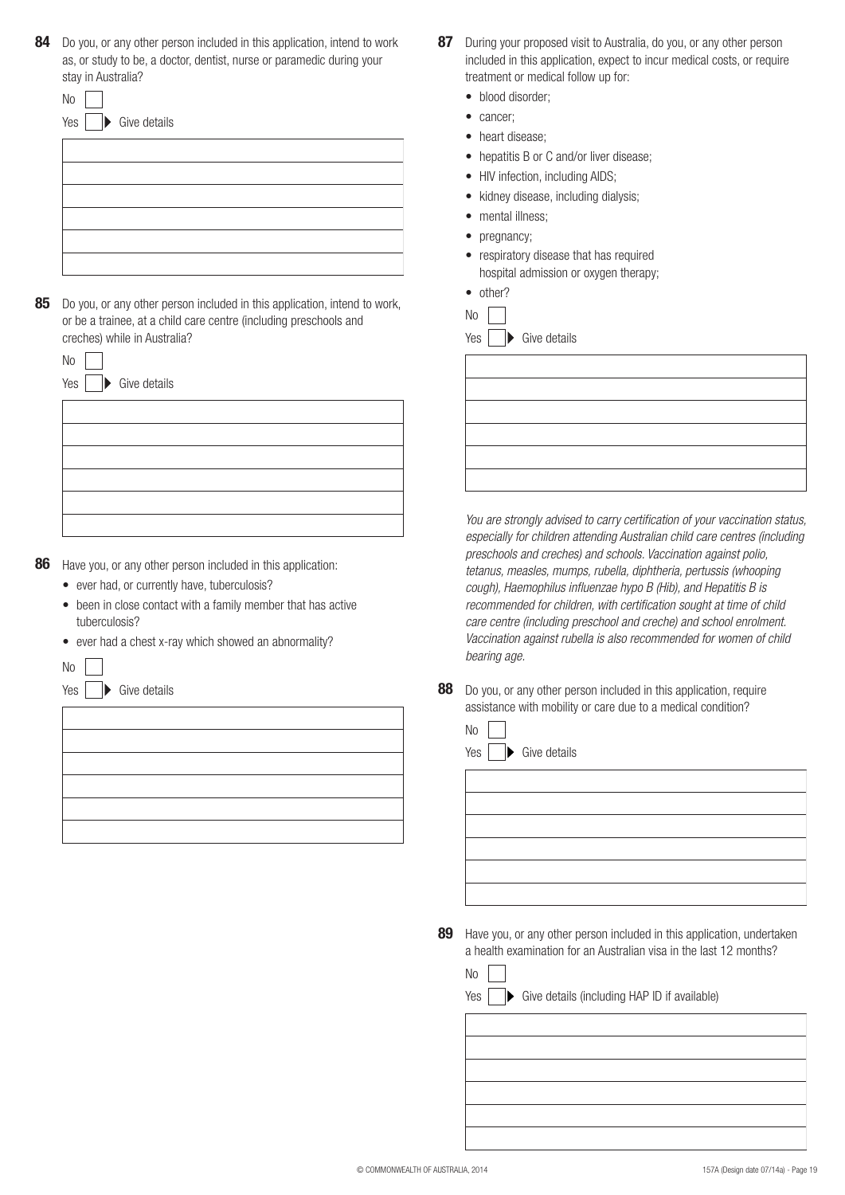| 84 Do you, or any other person included in this application, intend to work |
|-----------------------------------------------------------------------------|
| as, or study to be, a doctor, dentist, nurse or paramedic during your       |
| stay in Australia?                                                          |

| $\overline{\phantom{a}}$ | Yes $\Box$ Give details |
|--------------------------|-------------------------|
|                          |                         |
|                          |                         |
|                          |                         |
|                          |                         |
|                          |                         |

**85** Do you, or any other person included in this application, intend to work, or be a trainee, at a child care centre (including preschools and creches) while in Australia?

| N <sub>o</sub>          |  |
|-------------------------|--|
| Yes $\Box$ Give details |  |
|                         |  |
|                         |  |
|                         |  |
|                         |  |
|                         |  |
|                         |  |

**86** Have you, or any other person included in this application:

- ever had, or currently have, tuberculosis?
- been in close contact with a family member that has active tuberculosis?
- ever had a chest x-ray which showed an abnormality?



 $No$ 

 $\blacktriangleright$  Give details



- **87** During your proposed visit to Australia, do you, or any other person included in this application, expect to incur medical costs, or require treatment or medical follow up for:
	- blood disorder:
	- cancer;
	- heart disease;
	- hepatitis B or C and/or liver disease:
	- HIV infection, including AIDS;
	- kidney disease, including dialysis;
	- mental illness:
	- pregnancy;
	- • respiratory disease that has required hospital admission or oxygen therapy;
	- other?

| ۰. |  |  |
|----|--|--|
|----|--|--|

| Yes | Þ | Give details |
|-----|---|--------------|
|     |   |              |



*You are strongly advised to carry certification of your vaccination status, especially for children attending Australian child care centres (including preschools and creches) and schools. Vaccination against polio, tetanus, measles, mumps, rubella, diphtheria, pertussis (whooping cough), Haemophilus influenzae hypo B (Hib), and Hepatitis B is recommended for children, with certification sought at time of child care centre (including preschool and creche) and school enrolment. Vaccination against rubella is also recommended for women of child bearing age.*

**88** Do you, or any other person included in this application, require assistance with mobility or care due to a medical condition?

| No                      |
|-------------------------|
| Yes $\Box$ Give details |
|                         |
|                         |
|                         |
|                         |
|                         |
|                         |

**89** Have you, or any other person included in this application, undertaken a health examination for an Australian visa in the last 12 months?

|--|--|

 $Yes \frown$  Give details (including HAP ID if available)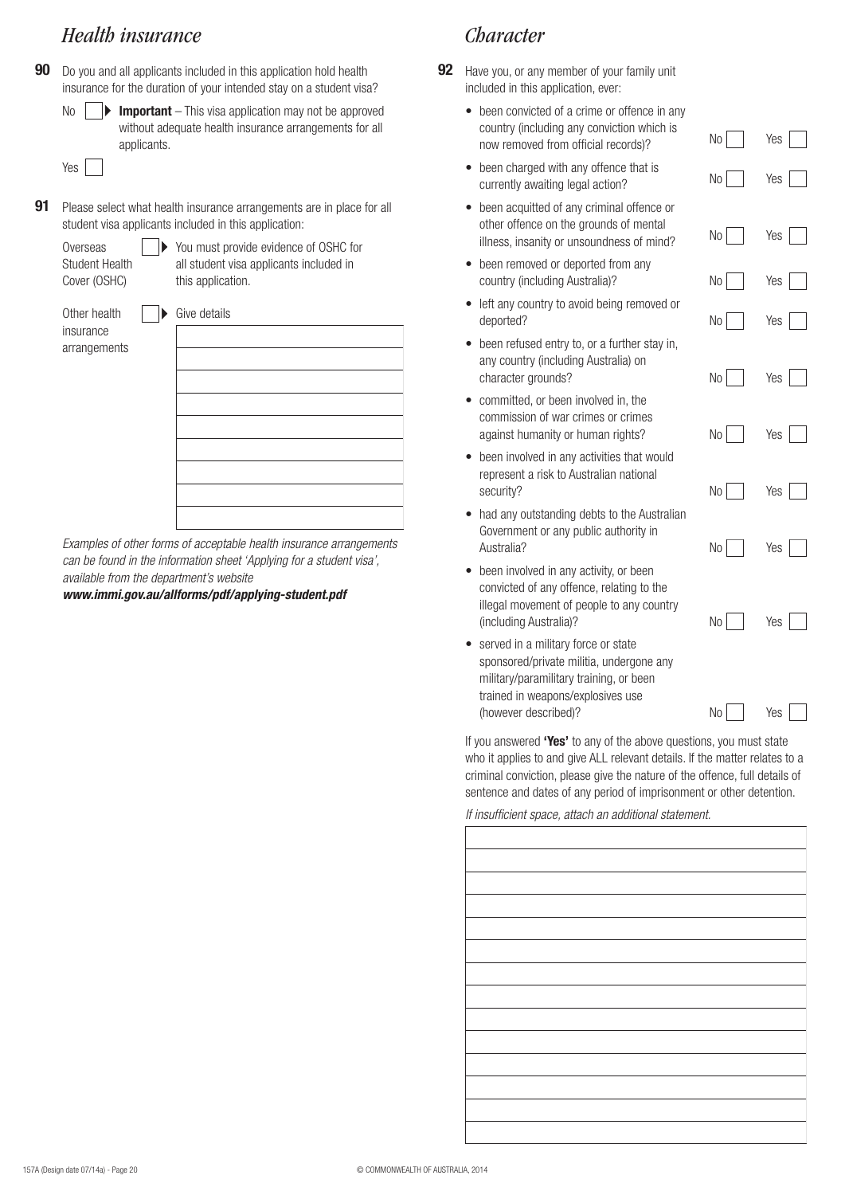# *Health insurance*

**90** Do you and all applicants included in this application hold health insurance for the duration of your intended stay on a student visa?



Yes<sup>[1]</sup>

**91** Please select what health insurance arrangements are in place for all student visa applicants included in this application:

| Overseas              |
|-----------------------|
| <b>Student Health</b> |
| Cover (OSHC)          |

▶ You must provide evidence of OSHC for all student visa applicants included in this application.

Other health insurance arrangements

| Give details |  |  |  |
|--------------|--|--|--|
|              |  |  |  |
|              |  |  |  |
|              |  |  |  |
|              |  |  |  |
|              |  |  |  |
|              |  |  |  |
|              |  |  |  |
|              |  |  |  |
|              |  |  |  |

*Examples of other forms of acceptable health insurance arrangements can be found in the information sheet 'Applying for a student visa', available from the department's website* 

*www.immi.gov.au/allforms/pdf/applying-student.pdf*

# *Character*

- **92** Have you, or any member of your family unit included in this application, ever:
	- been convicted of a crime or offence in any country (including any conviction which is now removed from official records)?
	- been charged with any offence that is currently awaiting legal action?
	- been acquitted of any criminal offence or other offence on the grounds of mental illness, insanity or unsoundness of mind?
	- been removed or deported from any country (including Australia)?
	- left any country to avoid being removed or deported?
	- been refused entry to, or a further stay in, any country (including Australia) on character grounds?
	- committed, or been involved in, the commission of war crimes or crimes against humanity or human rights?
	- been involved in any activities that would represent a risk to Australian national security?
	- had any outstanding debts to the Australian Government or any public authority in Australia?
	- been involved in any activity, or been convicted of any offence, relating to the illegal movement of people to any country (including Australia)?
	- served in a military force or state sponsored/private militia, undergone any military/paramilitary training, or been trained in weapons/explosives use (however described)?

If you answered **'Yes'** to any of the above questions, you must state who it applies to and give ALL relevant details. If the matter relates to a criminal conviction, please give the nature of the offence, full details of sentence and dates of any period of imprisonment or other detention.

No Yes

No Yes

No Yes

No Yes

No Yes

No Yes

No Yes

No Yes

No Yes

No | Yes

No Yes

*If insufficient space, attach an additional statement.*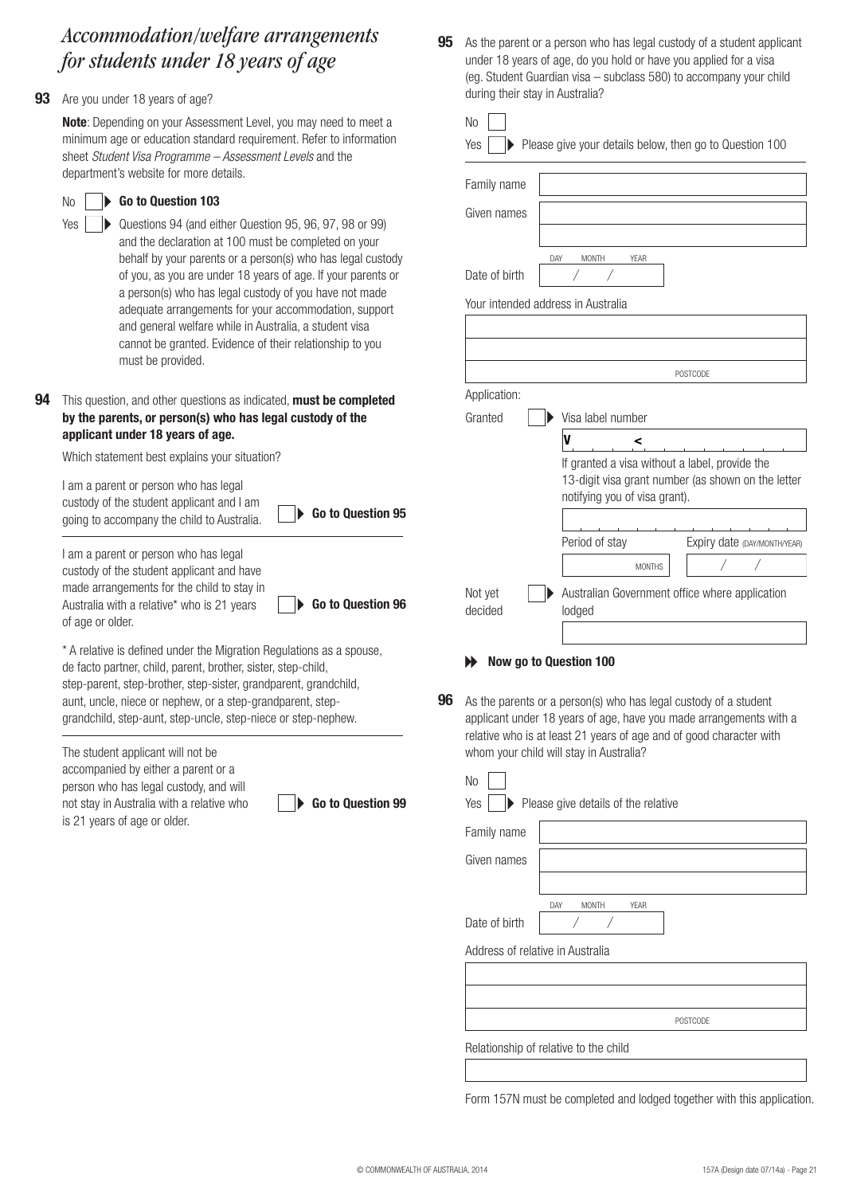# *Accommodation/welfare arrangements for students under 18 years of age*

**93** Are you under 18 years of age?

No Yes

**Note**: Depending on your Assessment Level, you may need to meet a minimum age or education standard requirement. Refer to information sheet *Student Visa Programme – Assessment Levels* and the department's website for more details.

#### **Go to Question 103**

Questions 94 (and either Question 95, 96, 97, 98 or 99) and the declaration at 100 must be completed on your behalf by your parents or a person(s) who has legal custody of you, as you are under 18 years of age. If your parents or a person(s) who has legal custody of you have not made adequate arrangements for your accommodation, support and general welfare while in Australia, a student visa cannot be granted. Evidence of their relationship to you must be provided.

#### **94** This question, and other questions as indicated, **must be completed by the parents, or person(s) who has legal custody of the applicant under 18 years of age.**

Which statement best explains your situation?

I am a parent or person who has legal custody of the student applicant and I am going to accompany the child to Australia. **Go to Question 95** 

**Go to Question 96**

I am a parent or person who has legal custody of the student applicant and have made arrangements for the child to stay in Australia with a relative\* who is 21 years of age or older.

\* A relative is defined under the Migration Regulations as a spouse, de facto partner, child, parent, brother, sister, step-child, step-parent, step-brother, step-sister, grandparent, grandchild, aunt, uncle, niece or nephew, or a step-grandparent, stepgrandchild, step-aunt, step-uncle, step-niece or step-nephew.

The student applicant will not be accompanied by either a parent or a person who has legal custody, and will not stay in Australia with a relative who is 21 years of age or older.

**Go to Question 99**

**95** As the parent or a person who has legal custody of a student applicant under 18 years of age, do you hold or have you applied for a visa (eg. Student Guardian visa – subclass 580) to accompany your child during their stay in Australia?

| Family name                        |                                    |                                                                                                      |
|------------------------------------|------------------------------------|------------------------------------------------------------------------------------------------------|
| Given names                        |                                    |                                                                                                      |
| Date of birth                      | DAY<br><b>MONTH</b><br><b>YEAR</b> |                                                                                                      |
| Your intended address in Australia |                                    |                                                                                                      |
|                                    |                                    |                                                                                                      |
|                                    |                                    | <b>POSTCODE</b>                                                                                      |
| Application:                       |                                    |                                                                                                      |
| Granted                            | Visa label number                  |                                                                                                      |
|                                    | V<br><                             |                                                                                                      |
|                                    | notifying you of visa grant).      | If granted a visa without a label, provide the<br>13-digit visa grant number (as shown on the letter |
|                                    |                                    |                                                                                                      |
|                                    | Period of stay                     | Expiry date (DAY/MONTH/YEAR)                                                                         |
|                                    | <b>MONTHS</b>                      |                                                                                                      |
| Not yet<br>decided                 | lodged                             | Australian Government office where application                                                       |

As the parents or a person(s) who has legal custody of a student applicant under 18 years of age, have you made arrangements with a relative who is at least 21 years of age and of good character with whom your child will stay in Australia? **96**

| N <sub>o</sub>                   |                                       |
|----------------------------------|---------------------------------------|
| Yes                              | Please give details of the relative   |
| Family name                      |                                       |
| Given names                      |                                       |
|                                  |                                       |
|                                  | DAY<br><b>MONTH</b><br><b>YEAR</b>    |
| Date of birth                    |                                       |
| Address of relative in Australia |                                       |
|                                  |                                       |
|                                  |                                       |
|                                  | <b>POSTCODE</b>                       |
|                                  | Relationship of relative to the child |
|                                  |                                       |

Form 157N must be completed and lodged together with this application.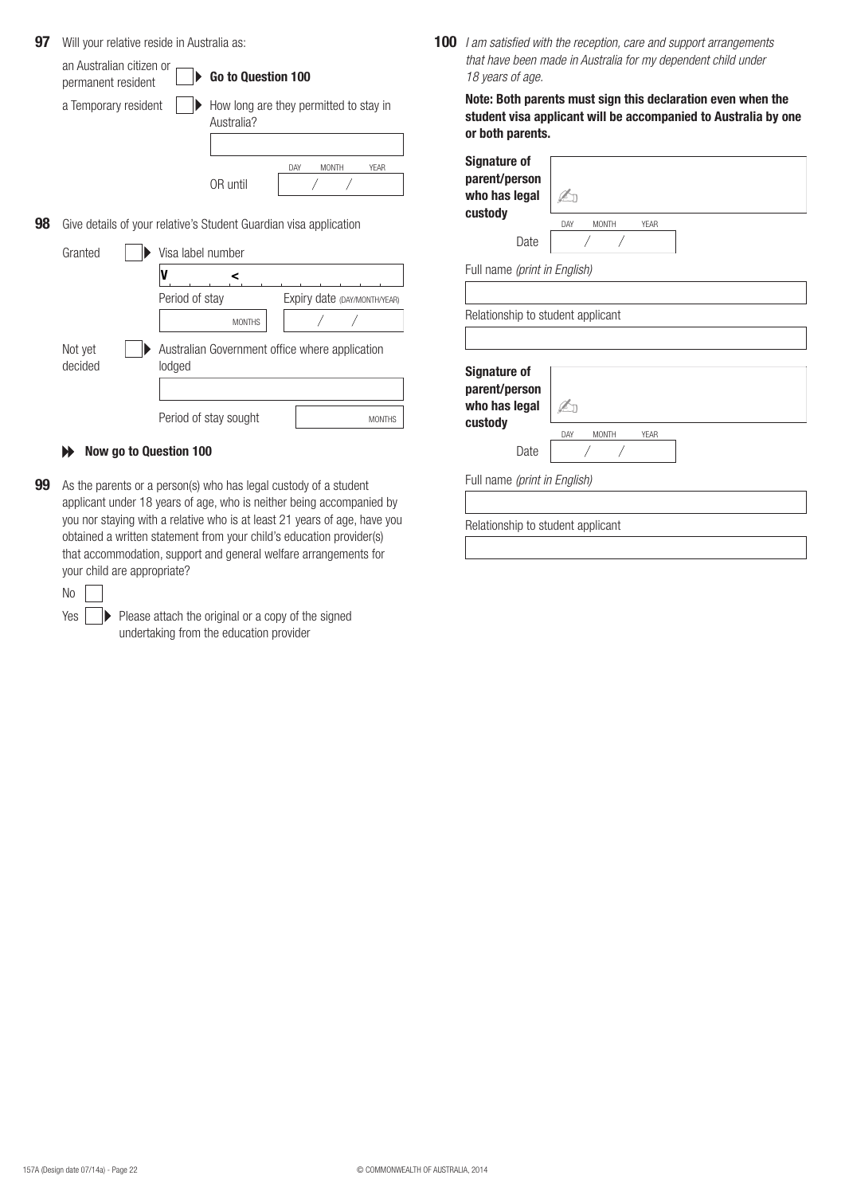| 97 |                                                |                | Will your relative reside in Australia as:                        |                              |             | 100 | $l$ am                       |
|----|------------------------------------------------|----------------|-------------------------------------------------------------------|------------------------------|-------------|-----|------------------------------|
|    | an Australian citizen or<br>permanent resident |                | Go to Question 100                                                |                              |             |     | that I<br>18 ye              |
|    | a Temporary resident                           |                | How long are they permitted to stay in<br>Australia?              |                              |             |     | <b>Note</b><br>stud<br>or bo |
|    |                                                |                | OR until                                                          | <b>MONTH</b><br>DAY          | <b>YEAR</b> |     | <b>Sign:</b><br>pare<br>who  |
| 98 |                                                |                | Give details of your relative's Student Guardian visa application |                              |             |     | cust                         |
|    |                                                |                |                                                                   |                              |             |     |                              |
|    | Granted                                        |                | Visa label number                                                 |                              |             |     |                              |
|    |                                                | V              | <                                                                 |                              |             |     | Full n                       |
|    |                                                | Period of stay |                                                                   | Expiry date (DAY/MONTH/YEAR) |             |     |                              |
|    |                                                |                | <b>MONTHS</b>                                                     |                              |             |     | Relati                       |
|    | Not yet<br>decided                             | lodged         | Australian Government office where application                    |                              |             |     |                              |
|    |                                                |                |                                                                   |                              |             |     | <b>Sign:</b><br>pare<br>who  |

**99** As the parents or a person(s) who has legal custody of a student applicant under 18 years of age, who is neither being accompanied by you nor staying with a relative who is at least 21 years of age, have you obtained a written statement from your child's education provider(s) that accommodation, support and general welfare arrangements for your child are appropriate?

| ۰.<br>× |  |
|---------|--|
|         |  |

Yes  $\|\ \blacktriangleright\$  Please attach the original or a copy of the signed undertaking from the education provider

**100** *I am satisfied with the reception, care and support arrangements that have been made in Australia for my dependent child under 18 years of age.*

**Note: Both parents must sign this declaration even when the student visa applicant will be accompanied to Australia by one**  oth parents.

| <b>Signature of</b><br>parent/person<br>who has legal<br>custody         | DAY<br><b>MONTH</b><br>YFAR        |
|--------------------------------------------------------------------------|------------------------------------|
| Date                                                                     |                                    |
| Full name (print in English)                                             |                                    |
|                                                                          |                                    |
| Relationship to student applicant                                        |                                    |
|                                                                          |                                    |
| <b>Signature of</b><br>parent/person<br>who has legal<br>custody<br>Date | <b>MONTH</b><br><b>YEAR</b><br>DAY |
| Full name (print in English)                                             |                                    |
|                                                                          |                                    |
| Relationship to student applicant                                        |                                    |
|                                                                          |                                    |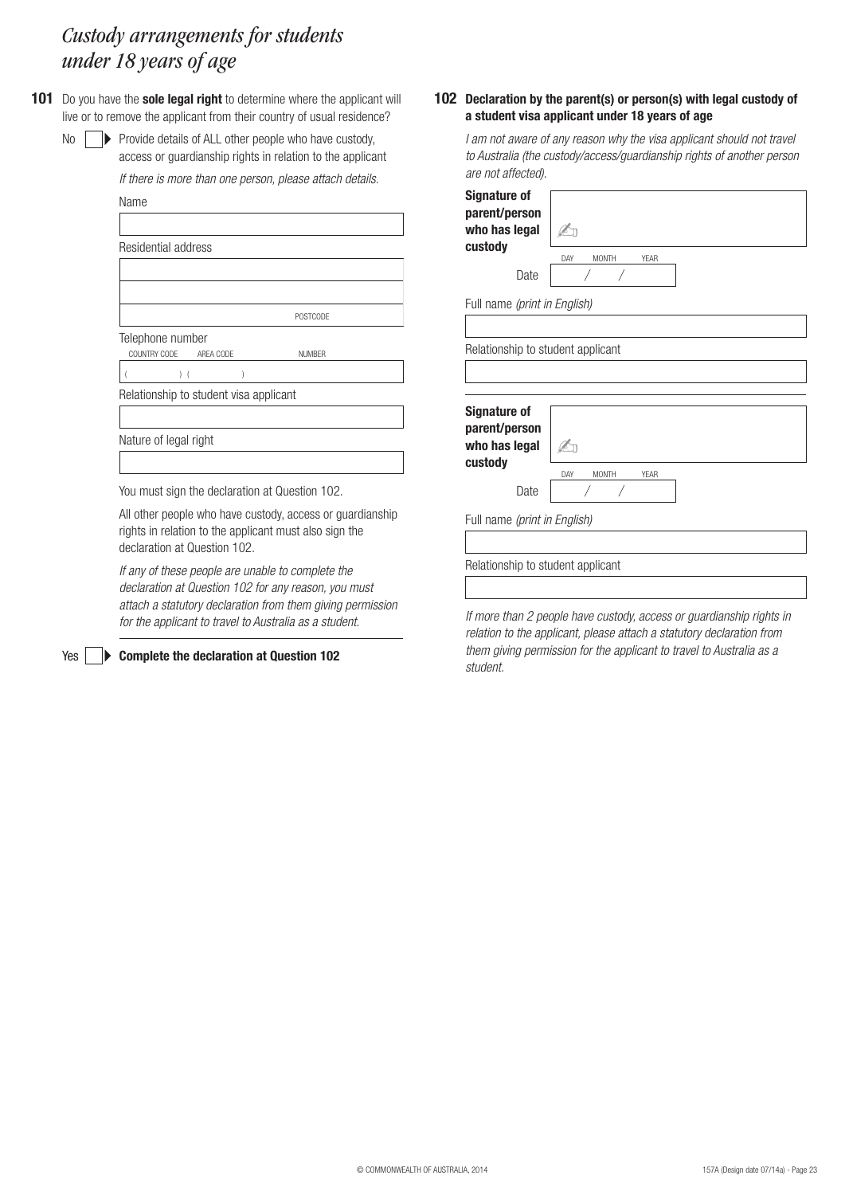# *Custody arrangements for students under 18 years of age*

No

Yes |

**101** Do you have the **sole legal right** to determine where the applicant will live or to remove the applicant from their country of usual residence?

> $\triangleright$  Provide details of ALL other people who have custody, access or guardianship rights in relation to the applicant

*If there is more than one person, please attach details.*

| Name                                   |                 |  |
|----------------------------------------|-----------------|--|
|                                        |                 |  |
| Residential address                    |                 |  |
|                                        |                 |  |
|                                        |                 |  |
|                                        | <b>POSTCODE</b> |  |
| Telephone number                       |                 |  |
| COUNTRY CODE AREA CODE                 | <b>NUMBER</b>   |  |
| $)$ (                                  |                 |  |
| Relationship to student visa applicant |                 |  |
|                                        |                 |  |
| Nature of legal right                  |                 |  |
|                                        |                 |  |
|                                        |                 |  |

You must sign the declaration at Question 102.

All other people who have custody, access or guardianship rights in relation to the applicant must also sign the declaration at Question 102.

*If any of these people are unable to complete the declaration at Question 102 for any reason, you must attach a statutory declaration from them giving permission for the applicant to travel to Australia as a student.*

**Complete the declaration at Question 102**

#### **102 Declaration by the parent(s) or person(s) with legal custody of a student visa applicant under 18 years of age**

| I am not aware of any reason why the visa applicant should not travel<br>to Australia (the custody/access/guardianship rights of another person<br>are not affected). |                                    |  |
|-----------------------------------------------------------------------------------------------------------------------------------------------------------------------|------------------------------------|--|
| <b>Signature of</b><br>parent/person<br>who has legal<br>custody                                                                                                      | <b>YEAR</b><br>DAY<br><b>MONTH</b> |  |
| Date                                                                                                                                                                  |                                    |  |
| Full name (print in English)                                                                                                                                          |                                    |  |
|                                                                                                                                                                       |                                    |  |
| Relationship to student applicant                                                                                                                                     |                                    |  |
| <b>Signature of</b><br>parent/person<br>who has legal<br>custody                                                                                                      | <b>MONTH</b><br><b>YEAR</b><br>DAY |  |
| Date                                                                                                                                                                  |                                    |  |
| Full name (print in English)                                                                                                                                          |                                    |  |
|                                                                                                                                                                       |                                    |  |
| Relationship to student applicant                                                                                                                                     |                                    |  |
|                                                                                                                                                                       |                                    |  |

*If more than 2 people have custody, access or guardianship rights in relation to the applicant, please attach a statutory declaration from them giving permission for the applicant to travel to Australia as a student.*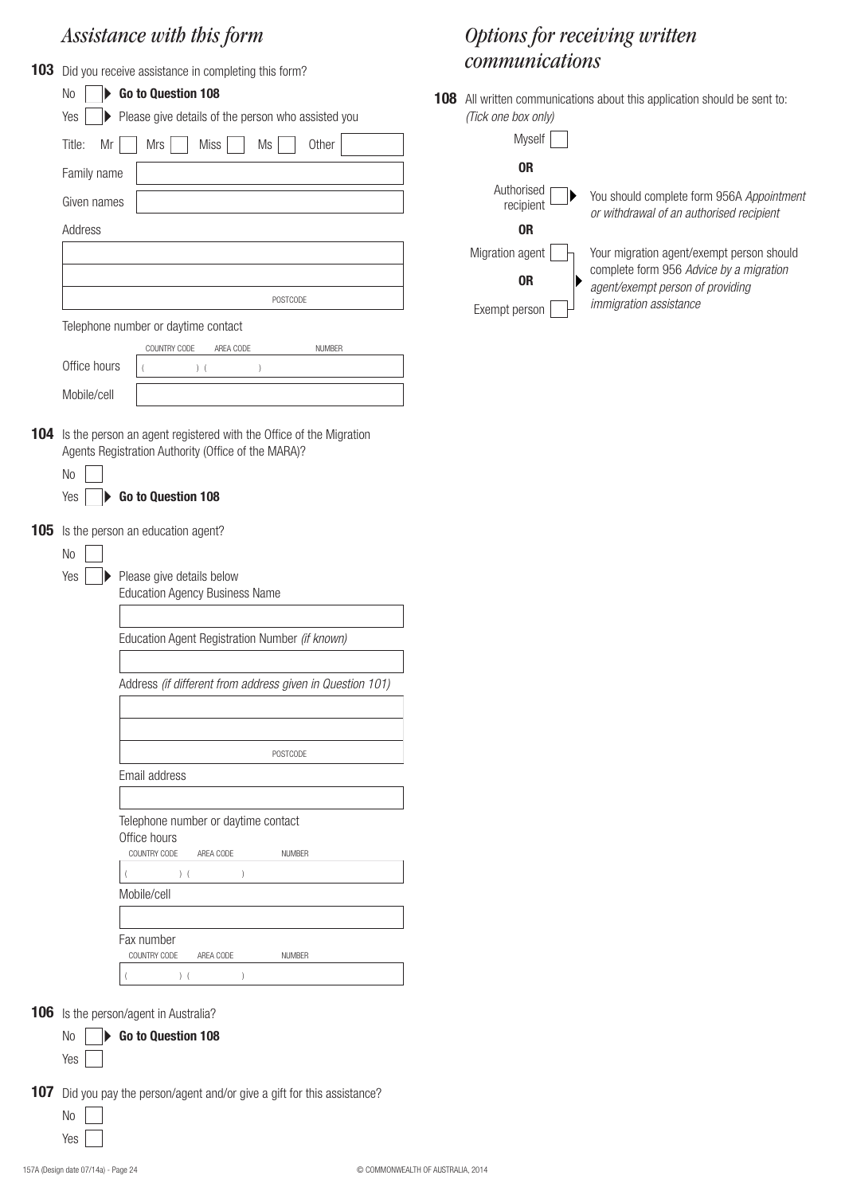# *Assistance with this form*

|            |                                                | 103 Did you receive assistance in completing this form?                                                                                                                                                                                                    |
|------------|------------------------------------------------|------------------------------------------------------------------------------------------------------------------------------------------------------------------------------------------------------------------------------------------------------------|
|            | <b>No</b>                                      | Go to Question 108                                                                                                                                                                                                                                         |
|            | Yes                                            | Please give details of the person who assisted you                                                                                                                                                                                                         |
|            | Title:<br>Mr                                   | Mrs<br>Miss<br>Ms<br>Other                                                                                                                                                                                                                                 |
|            | Family name                                    |                                                                                                                                                                                                                                                            |
|            | Given names                                    |                                                                                                                                                                                                                                                            |
|            | Address                                        |                                                                                                                                                                                                                                                            |
|            |                                                |                                                                                                                                                                                                                                                            |
|            |                                                |                                                                                                                                                                                                                                                            |
|            |                                                | POSTCODE                                                                                                                                                                                                                                                   |
|            |                                                | Telephone number or daytime contact                                                                                                                                                                                                                        |
|            | Office hours                                   | COUNTRY CODE<br>AREA CODE<br><b>NUMBER</b>                                                                                                                                                                                                                 |
|            |                                                | $)$ (<br>$\left( \right)$                                                                                                                                                                                                                                  |
|            | Mobile/cell                                    |                                                                                                                                                                                                                                                            |
| 104<br>105 | N <sub>0</sub><br>Yes<br>N <sub>o</sub><br>Yes | Is the person an agent registered with the Office of the Migration<br>Agents Registration Authority (Office of the MARA)?<br>Go to Question 108<br>Is the person an education agent?<br>Please give details below<br><b>Education Agency Business Name</b> |
|            |                                                |                                                                                                                                                                                                                                                            |
|            |                                                | Education Agent Registration Number (if known)                                                                                                                                                                                                             |
|            |                                                |                                                                                                                                                                                                                                                            |
|            |                                                | Address (if different from address given in Question 101)                                                                                                                                                                                                  |
|            |                                                |                                                                                                                                                                                                                                                            |
|            |                                                | <b>POSTCODE</b>                                                                                                                                                                                                                                            |
|            |                                                | Email address                                                                                                                                                                                                                                              |
|            |                                                |                                                                                                                                                                                                                                                            |
|            |                                                | Telephone number or daytime contact<br>Office hours<br>COUNTRY CODE<br>AREA CODE<br><b>NUMBER</b><br>$)$ (<br>$\mathcal{E}$<br>(<br>Mobile/cell                                                                                                            |
|            |                                                |                                                                                                                                                                                                                                                            |
|            |                                                | Fax number<br>COUNTRY CODE<br>AREA CODE<br><b>NUMBER</b>                                                                                                                                                                                                   |
|            |                                                | (<br>$\lambda$                                                                                                                                                                                                                                             |
|            |                                                |                                                                                                                                                                                                                                                            |

#### **106** Is the person/agent in Australia?

|            | No <b>D</b> Go to Question 108 |  |
|------------|--------------------------------|--|
| Yes $\Box$ |                                |  |

- **107** Did you pay the person/agent and/or give a gift for this assistance?
	- No Yes

#### 157A (Design date 07/14a) - Page 24 © COMMONWEALTH OF AUSTRALIA, 2014

# *Options for receiving written communications*

**108** All written communications about this application should be sent to: *(Tick one box only)*

| You should complete form 956A Appointment<br>or withdrawal of an authorised recipient |
|---------------------------------------------------------------------------------------|
|                                                                                       |
| Your migration agent/exempt person should                                             |
| complete form 956 Advice by a migration<br>agent/exempt person of providing           |
| <i>immigration assistance</i>                                                         |
|                                                                                       |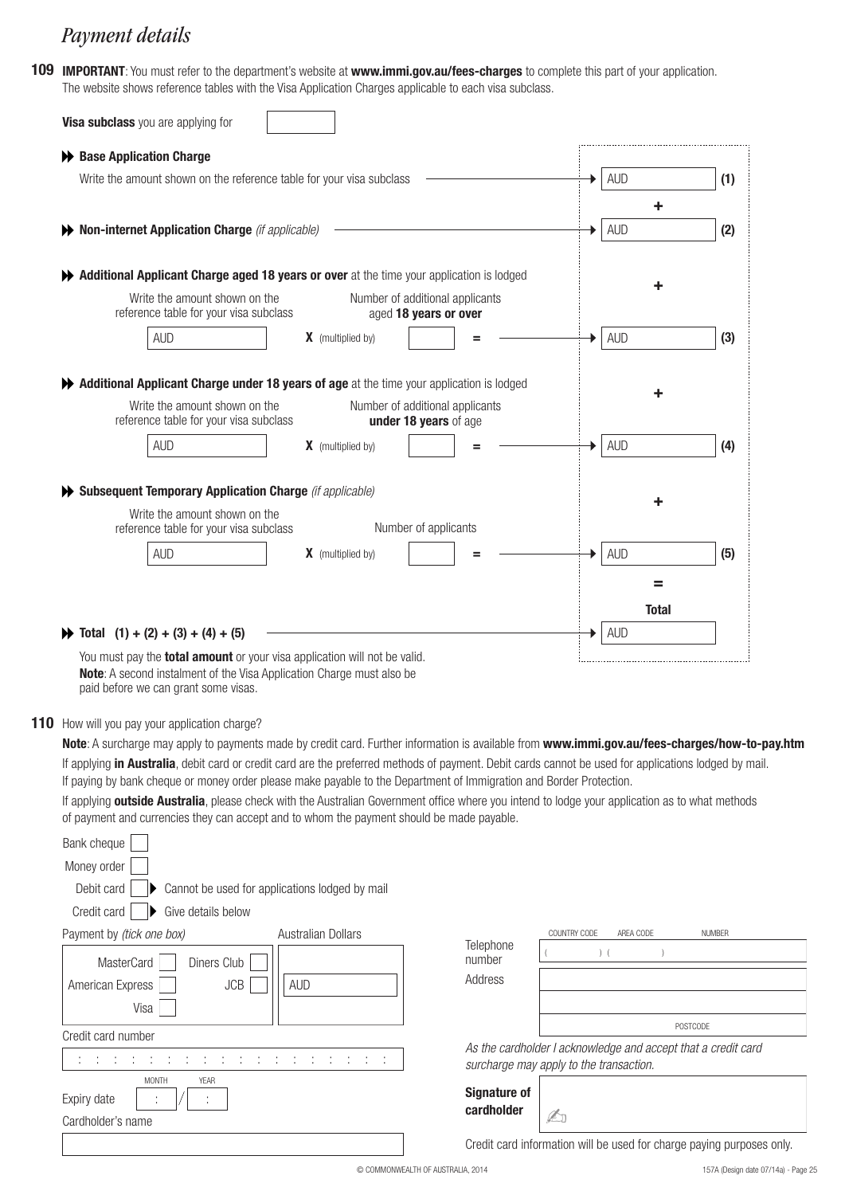# *Payment details*

**109 IMPORTANT**: You must refer to the department's website at **www.immi.gov.au/fees-charges** to complete this part of your application. The website shows reference tables with the Visa Application Charges applicable to each visa subclass.

| Write the amount shown on the reference table for your visa subclass<br><b>AUD</b><br>٠<br><b>AUD</b><br>Non-internet Application Charge (if applicable)<br>▶<br>Additional Applicant Charge aged 18 years or over at the time your application is lodged<br>٠<br>Write the amount shown on the<br>Number of additional applicants<br>reference table for your visa subclass<br>aged 18 years or over<br><b>AUD</b><br><b>AUD</b><br>X (multiplied by)<br>Additional Applicant Charge under 18 years of age at the time your application is lodged<br>Write the amount shown on the<br>Number of additional applicants<br>reference table for your visa subclass<br>under 18 years of age<br><b>AUD</b><br>X (multiplied by)<br><b>AUD</b><br>Subsequent Temporary Application Charge (if applicable)<br>Write the amount shown on the<br>reference table for your visa subclass<br>Number of applicants<br><b>AUD</b><br><b>AUD</b><br>$X$ (multiplied by)<br>=<br><b>Total</b><br><b>AUD</b><br>$\blacktriangleright$ Total (1) + (2) + (3) + (4) + (5) | ← Base Application Charge |     |
|-----------------------------------------------------------------------------------------------------------------------------------------------------------------------------------------------------------------------------------------------------------------------------------------------------------------------------------------------------------------------------------------------------------------------------------------------------------------------------------------------------------------------------------------------------------------------------------------------------------------------------------------------------------------------------------------------------------------------------------------------------------------------------------------------------------------------------------------------------------------------------------------------------------------------------------------------------------------------------------------------------------------------------------------------------------|---------------------------|-----|
|                                                                                                                                                                                                                                                                                                                                                                                                                                                                                                                                                                                                                                                                                                                                                                                                                                                                                                                                                                                                                                                           |                           | (1) |
|                                                                                                                                                                                                                                                                                                                                                                                                                                                                                                                                                                                                                                                                                                                                                                                                                                                                                                                                                                                                                                                           |                           |     |
|                                                                                                                                                                                                                                                                                                                                                                                                                                                                                                                                                                                                                                                                                                                                                                                                                                                                                                                                                                                                                                                           |                           | (2) |
|                                                                                                                                                                                                                                                                                                                                                                                                                                                                                                                                                                                                                                                                                                                                                                                                                                                                                                                                                                                                                                                           |                           |     |
|                                                                                                                                                                                                                                                                                                                                                                                                                                                                                                                                                                                                                                                                                                                                                                                                                                                                                                                                                                                                                                                           |                           | (3) |
|                                                                                                                                                                                                                                                                                                                                                                                                                                                                                                                                                                                                                                                                                                                                                                                                                                                                                                                                                                                                                                                           |                           |     |
|                                                                                                                                                                                                                                                                                                                                                                                                                                                                                                                                                                                                                                                                                                                                                                                                                                                                                                                                                                                                                                                           |                           | (4) |
|                                                                                                                                                                                                                                                                                                                                                                                                                                                                                                                                                                                                                                                                                                                                                                                                                                                                                                                                                                                                                                                           |                           |     |
|                                                                                                                                                                                                                                                                                                                                                                                                                                                                                                                                                                                                                                                                                                                                                                                                                                                                                                                                                                                                                                                           |                           | (5) |
|                                                                                                                                                                                                                                                                                                                                                                                                                                                                                                                                                                                                                                                                                                                                                                                                                                                                                                                                                                                                                                                           |                           |     |
|                                                                                                                                                                                                                                                                                                                                                                                                                                                                                                                                                                                                                                                                                                                                                                                                                                                                                                                                                                                                                                                           |                           |     |
|                                                                                                                                                                                                                                                                                                                                                                                                                                                                                                                                                                                                                                                                                                                                                                                                                                                                                                                                                                                                                                                           |                           |     |

#### 110 How will you pay your application charge?

**Note**: A surcharge may apply to payments made by credit card. Further information is available from **www.immi.gov.au/fees-charges/how-to-pay.htm** If applying **in Australia**, debit card or credit card are the preferred methods of payment. Debit cards cannot be used for applications lodged by mail. If paying by bank cheque or money order please make payable to the Department of Immigration and Border Protection.

If applying **outside Australia**, please check with the Australian Government office where you intend to lodge your application as to what methods of payment and currencies they can accept and to whom the payment should be made payable.

| Bank cheque                                                  |                                                                                                          |
|--------------------------------------------------------------|----------------------------------------------------------------------------------------------------------|
| Money order                                                  |                                                                                                          |
| Debit card<br>Cannot be used for applications lodged by mail |                                                                                                          |
| Credit card<br>Give details below                            |                                                                                                          |
| Payment by (tick one box)<br>Australian Dollars              | COUNTRY CODE<br><b>NUMBER</b><br>AREA CODE                                                               |
| <b>MasterCard</b><br>Diners Club                             | Telephone<br>number                                                                                      |
| JCB<br>American Express<br><b>AUD</b>                        | Address                                                                                                  |
| Visa                                                         |                                                                                                          |
| Credit card number                                           | POSTCODE                                                                                                 |
|                                                              | As the cardholder I acknowledge and accept that a credit card<br>surcharge may apply to the transaction. |
| <b>MONTH</b><br><b>YEAR</b><br>Expiry date                   | <b>Signature of</b><br>cardholder<br>A                                                                   |
| Cardholder's name                                            |                                                                                                          |
|                                                              | Credit card information will be used for charge paying purposes only.                                    |
|                                                              | 157A (Design date 07/14a) - Page 25<br>C COMMONWEALTH OF AUSTRALIA, 2014                                 |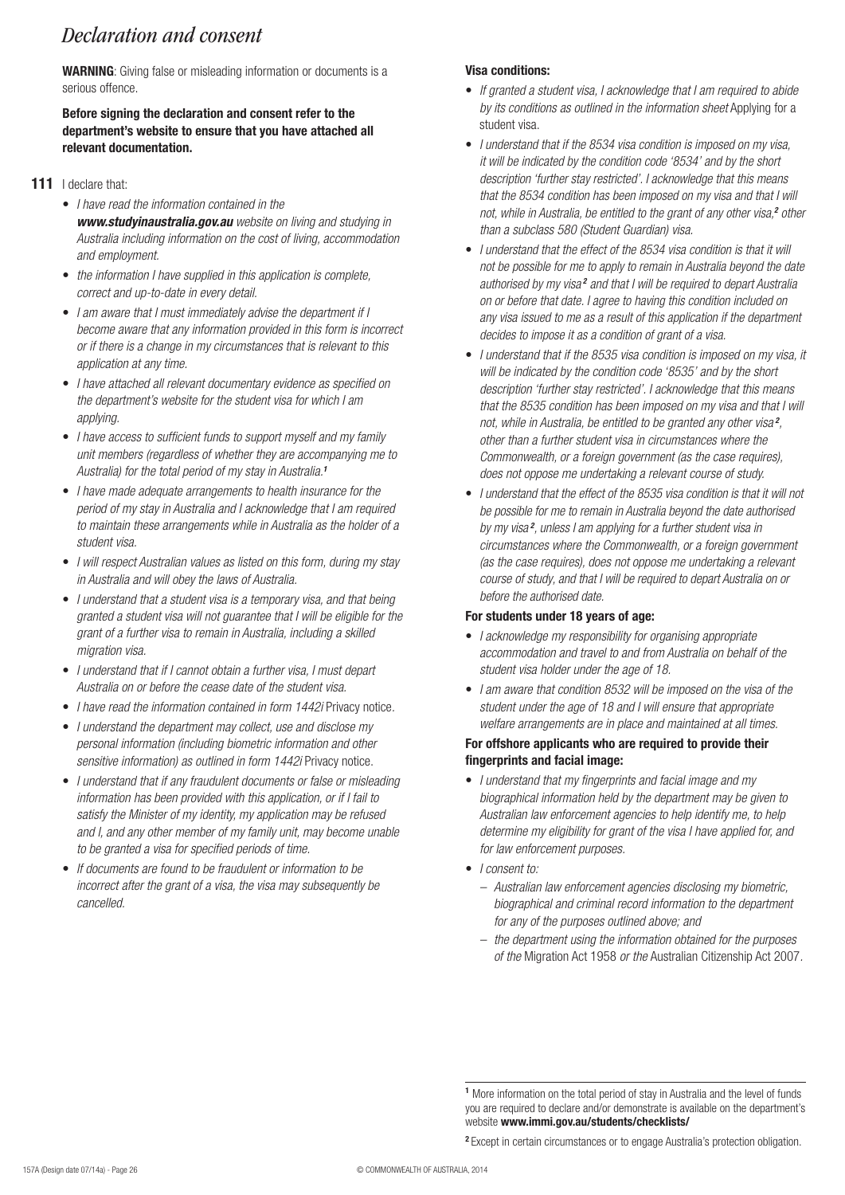# *Declaration and consent*

**WARNING**: Giving false or misleading information or documents is a serious offence.

#### **Before signing the declaration and consent refer to the department's website to ensure that you have attached all relevant documentation.**

### **111** I declare that:

- • *I have read the information contained in the www.studyinaustralia.gov.au website on living and studying in Australia including information on the cost of living, accommodation and employment.*
- • *the information I have supplied in this application is complete, correct and up-to-date in every detail.*
- • *I am aware that I must immediately advise the department if I become aware that any information provided in this form is incorrect or if there is a change in my circumstances that is relevant to this application at any time.*
- • *I have attached all relevant documentary evidence as specified on the department's website for the student visa for which I am applying.*
- • *I have access to sufficient funds to support myself and my family unit members (regardless of whether they are accompanying me to Australia) for the total period of my stay in Australia.<sup>1</sup>*
- • *I have made adequate arrangements to health insurance for the period of my stay in Australia and I acknowledge that I am required to maintain these arrangements while in Australia as the holder of a student visa.*
- • *I will respect Australian values as listed on this form, during my stay in Australia and will obey the laws of Australia.*
- • *I understand that a student visa is a temporary visa, and that being granted a student visa will not guarantee that I will be eligible for the grant of a further visa to remain in Australia, including a skilled migration visa.*
- • *I understand that if I cannot obtain a further visa, I must depart Australia on or before the cease date of the student visa.*
- *I have read the information contained in form 1442i* Privacy notice.
- • *I understand the department may collect, use and disclose my personal information (including biometric information and other*  sensitive information) as outlined in form 1442i Privacy notice.
- I understand that if any fraudulent documents or false or misleading *information has been provided with this application, or if I fail to satisfy the Minister of my identity, my application may be refused and I, and any other member of my family unit, may become unable to be granted a visa for specified periods of time.*
- • *If documents are found to be fraudulent or information to be incorrect after the grant of a visa, the visa may subsequently be cancelled.*

# **Visa conditions:**

- • *If granted a student visa, I acknowledge that I am required to abide by its conditions as outlined in the information sheet* Applying for a student visa.
- • *I understand that if the 8534 visa condition is imposed on my visa, it will be indicated by the condition code '8534' and by the short description 'further stay restricted'. I acknowledge that this means that the 8534 condition has been imposed on my visa and that I will not, while in Australia, be entitled to the grant of any other visa,<sup>2</sup> other than a subclass 580 (Student Guardian) visa.*
- *I understand that the effect of the 8534 visa condition is that it will not be possible for me to apply to remain in Australia beyond the date*  authorised by my visa<sup>2</sup> and that I will be required to depart Australia *on or before that date. I agree to having this condition included on any visa issued to me as a result of this application if the department decides to impose it as a condition of grant of a visa.*
- • *I understand that if the 8535 visa condition is imposed on my visa, it will be indicated by the condition code '8535' and by the short description 'further stay restricted'. I acknowledge that this means that the 8535 condition has been imposed on my visa and that I will not, while in Australia, be entitled to be granted any other visa <sup>2</sup> , other than a further student visa in circumstances where the Commonwealth, or a foreign government (as the case requires), does not oppose me undertaking a relevant course of study.*
- • *I understand that the effect of the 8535 visa condition is that it will not be possible for me to remain in Australia beyond the date authorised by my visa <sup>2</sup> , unless I am applying for a further student visa in circumstances where the Commonwealth, or a foreign government (as the case requires), does not oppose me undertaking a relevant course of study, and that I will be required to depart Australia on or before the authorised date.*

## **For students under 18 years of age:**

- • *I acknowledge my responsibility for organising appropriate accommodation and travel to and from Australia on behalf of the student visa holder under the age of 18.*
- • *I am aware that condition 8532 will be imposed on the visa of the student under the age of 18 and I will ensure that appropriate welfare arrangements are in place and maintained at all times.*

#### **For offshore applicants who are required to provide their fingerprints and facial image:**

- • *I understand that my fingerprints and facial image and my biographical information held by the department may be given to Australian law enforcement agencies to help identify me, to help determine my eligibility for grant of the visa I have applied for, and for law enforcement purposes.*
- • *I consent to:*
	- *– Australian law enforcement agencies disclosing my biometric, biographical and criminal record information to the department for any of the purposes outlined above; and*
	- *– the department using the information obtained for the purposes of the* Migration Act 1958 *or the* Australian Citizenship Act 2007*.*

**2** Except in certain circumstances or to engage Australia's protection obligation.

**<sup>1</sup>** More information on the total period of stay in Australia and the level of funds you are required to declare and/or demonstrate is available on the department's website **www.immi.gov.au/students/checklists/**